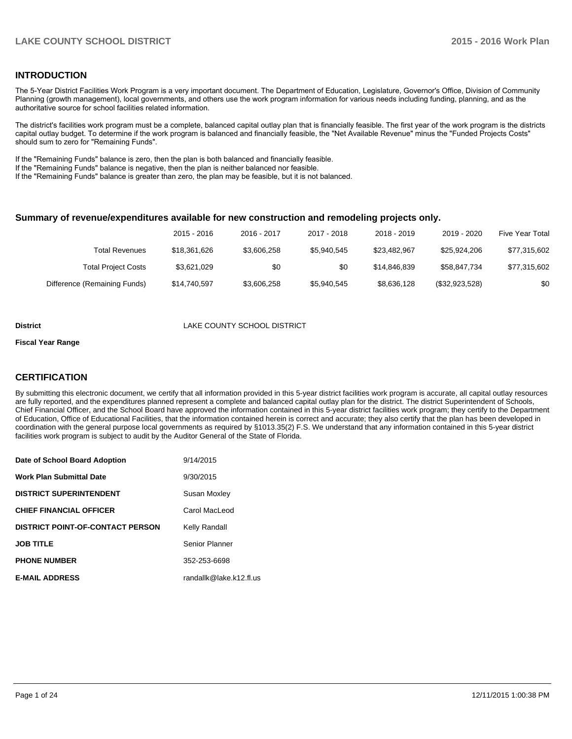#### **INTRODUCTION**

The 5-Year District Facilities Work Program is a very important document. The Department of Education, Legislature, Governor's Office, Division of Community Planning (growth management), local governments, and others use the work program information for various needs including funding, planning, and as the authoritative source for school facilities related information.

The district's facilities work program must be a complete, balanced capital outlay plan that is financially feasible. The first year of the work program is the districts capital outlay budget. To determine if the work program is balanced and financially feasible, the "Net Available Revenue" minus the "Funded Projects Costs" should sum to zero for "Remaining Funds".

If the "Remaining Funds" balance is zero, then the plan is both balanced and financially feasible.

If the "Remaining Funds" balance is negative, then the plan is neither balanced nor feasible.

If the "Remaining Funds" balance is greater than zero, the plan may be feasible, but it is not balanced.

#### **Summary of revenue/expenditures available for new construction and remodeling projects only.**

| Five Year Total | 2019 - 2020    | 2018 - 2019  | 2017 - 2018 | 2016 - 2017 | 2015 - 2016  |                              |
|-----------------|----------------|--------------|-------------|-------------|--------------|------------------------------|
| \$77,315,602    | \$25.924.206   | \$23.482.967 | \$5.940.545 | \$3,606,258 | \$18,361,626 | Total Revenues               |
| \$77,315,602    | \$58.847.734   | \$14.846.839 | \$0         | \$0         | \$3.621.029  | <b>Total Project Costs</b>   |
| \$0             | (\$32,923,528) | \$8,636,128  | \$5.940.545 | \$3,606,258 | \$14.740.597 | Difference (Remaining Funds) |

#### **District District LAKE COUNTY SCHOOL DISTRICT**

#### **Fiscal Year Range**

### **CERTIFICATION**

By submitting this electronic document, we certify that all information provided in this 5-year district facilities work program is accurate, all capital outlay resources are fully reported, and the expenditures planned represent a complete and balanced capital outlay plan for the district. The district Superintendent of Schools, Chief Financial Officer, and the School Board have approved the information contained in this 5-year district facilities work program; they certify to the Department of Education, Office of Educational Facilities, that the information contained herein is correct and accurate; they also certify that the plan has been developed in coordination with the general purpose local governments as required by §1013.35(2) F.S. We understand that any information contained in this 5-year district facilities work program is subject to audit by the Auditor General of the State of Florida.

| Date of School Board Adoption           | 9/14/2015               |
|-----------------------------------------|-------------------------|
| <b>Work Plan Submittal Date</b>         | 9/30/2015               |
| <b>DISTRICT SUPERINTENDENT</b>          | Susan Moxley            |
| <b>CHIEF FINANCIAL OFFICER</b>          | Carol MacLeod           |
| <b>DISTRICT POINT-OF-CONTACT PERSON</b> | Kelly Randall           |
| <b>JOB TITLE</b>                        | Senior Planner          |
| <b>PHONE NUMBER</b>                     | 352-253-6698            |
| <b>E-MAIL ADDRESS</b>                   | randallk@lake.k12.fl.us |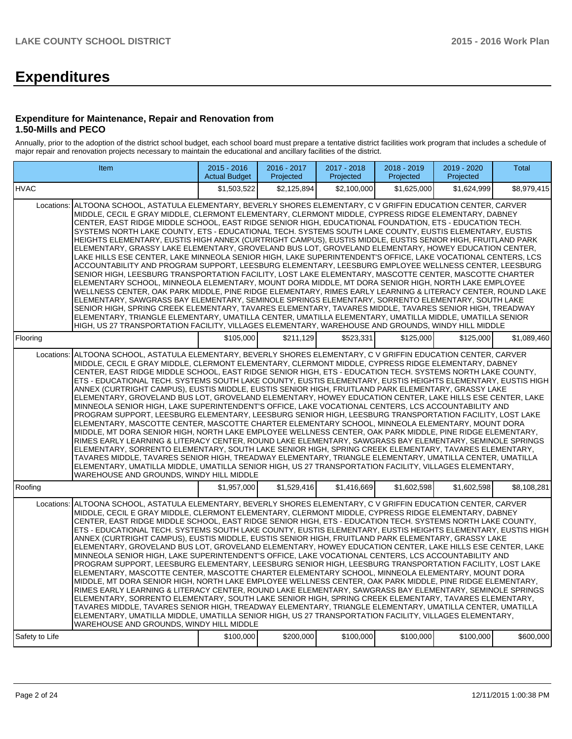# **Expenditures**

#### **Expenditure for Maintenance, Repair and Renovation from 1.50-Mills and PECO**

Annually, prior to the adoption of the district school budget, each school board must prepare a tentative district facilities work program that includes a schedule of major repair and renovation projects necessary to maintain the educational and ancillary facilities of the district.

|                | Item                                                                                                                                                                                                                                                                                                                                                                                                                                                                                                                                                                                                                                                                                                                                                                                                                                                                                                                                                                                                                                                                                                                                                                                                                                                                                                                                                                                                                                                                                                                                                                                                                                              | $2015 - 2016$<br><b>Actual Budget</b> | 2016 - 2017<br>Projected | 2017 - 2018<br>Projected | 2018 - 2019<br>Projected | 2019 - 2020<br>Projected | <b>Total</b> |  |  |  |  |  |
|----------------|---------------------------------------------------------------------------------------------------------------------------------------------------------------------------------------------------------------------------------------------------------------------------------------------------------------------------------------------------------------------------------------------------------------------------------------------------------------------------------------------------------------------------------------------------------------------------------------------------------------------------------------------------------------------------------------------------------------------------------------------------------------------------------------------------------------------------------------------------------------------------------------------------------------------------------------------------------------------------------------------------------------------------------------------------------------------------------------------------------------------------------------------------------------------------------------------------------------------------------------------------------------------------------------------------------------------------------------------------------------------------------------------------------------------------------------------------------------------------------------------------------------------------------------------------------------------------------------------------------------------------------------------------|---------------------------------------|--------------------------|--------------------------|--------------------------|--------------------------|--------------|--|--|--|--|--|
| <b>HVAC</b>    |                                                                                                                                                                                                                                                                                                                                                                                                                                                                                                                                                                                                                                                                                                                                                                                                                                                                                                                                                                                                                                                                                                                                                                                                                                                                                                                                                                                                                                                                                                                                                                                                                                                   | \$1.503.522                           | \$2,125,894              | \$2,100,000              | \$1.625.000              | \$1.624.999              | \$8,979,415  |  |  |  |  |  |
| Locations:     | ALTOONA SCHOOL, ASTATULA ELEMENTARY, BEVERLY SHORES ELEMENTARY, C V GRIFFIN EDUCATION CENTER, CARVER<br>MIDDLE, CECIL E GRAY MIDDLE, CLERMONT ELEMENTARY, CLERMONT MIDDLE, CYPRESS RIDGE ELEMENTARY, DABNEY<br>CENTER, EAST RIDGE MIDDLE SCHOOL, EAST RIDGE SENIOR HIGH, EDUCATIONAL FOUNDATION, ETS - EDUCATION TECH.<br>SYSTEMS NORTH LAKE COUNTY, ETS - EDUCATIONAL TECH. SYSTEMS SOUTH LAKE COUNTY, EUSTIS ELEMENTARY, EUSTIS<br>HEIGHTS ELEMENTARY, EUSTIS HIGH ANNEX (CURTRIGHT CAMPUS), EUSTIS MIDDLE, EUSTIS SENIOR HIGH, FRUITLAND PARK<br>ELEMENTARY, GRASSY LAKE ELEMENTARY, GROVELAND BUS LOT, GROVELAND ELEMENTARY, HOWEY EDUCATION CENTER,<br>LAKE HILLS ESE CENTER, LAKE MINNEOLA SENIOR HIGH, LAKE SUPERINTENDENT'S OFFICE, LAKE VOCATIONAL CENTERS, LCS<br>ACCOUNTABILITY AND PROGRAM SUPPORT, LEESBURG ELEMENTARY, LEESBURG EMPLOYEE WELLNESS CENTER, LEESBURG<br>SENIOR HIGH, LEESBURG TRANSPORTATION FACILITY, LOST LAKE ELEMENTARY, MASCOTTE CENTER, MASCOTTE CHARTER<br>ELEMENTARY SCHOOL, MINNEOLA ELEMENTARY, MOUNT DORA MIDDLE, MT DORA SENIOR HIGH, NORTH LAKE EMPLOYEE<br>WELLNESS CENTER, OAK PARK MIDDLE, PINE RIDGE ELEMENTARY, RIMES EARLY LEARNING & LITERACY CENTER, ROUND LAKE<br>ELEMENTARY, SAWGRASS BAY ELEMENTARY, SEMINOLE SPRINGS ELEMENTARY, SORRENTO ELEMENTARY, SOUTH LAKE<br>SENIOR HIGH, SPRING CREEK ELEMENTARY, TAVARES ELEMENTARY, TAVARES MIDDLE, TAVARES SENIOR HIGH, TREADWAY<br>ELEMENTARY, TRIANGLE ELEMENTARY, UMATILLA CENTER, UMATILLA ELEMENTARY, UMATILLA MIDDLE, UMATILLA SENIOR<br>HIGH, US 27 TRANSPORTATION FACILITY, VILLAGES ELEMENTARY, WAREHOUSE AND GROUNDS, WINDY HILL MIDDLE |                                       |                          |                          |                          |                          |              |  |  |  |  |  |
| Flooring       |                                                                                                                                                                                                                                                                                                                                                                                                                                                                                                                                                                                                                                                                                                                                                                                                                                                                                                                                                                                                                                                                                                                                                                                                                                                                                                                                                                                                                                                                                                                                                                                                                                                   | \$105,000                             | \$211,129                | \$523,331                | \$125,000                | \$125,000                | \$1,089,460  |  |  |  |  |  |
| Locations:     | ALTOONA SCHOOL, ASTATULA ELEMENTARY, BEVERLY SHORES ELEMENTARY, C V GRIFFIN EDUCATION CENTER, CARVER<br>MIDDLE, CECIL E GRAY MIDDLE, CLERMONT ELEMENTARY, CLERMONT MIDDLE, CYPRESS RIDGE ELEMENTARY, DABNEY<br>CENTER, EAST RIDGE MIDDLE SCHOOL, EAST RIDGE SENIOR HIGH, ETS - EDUCATION TECH. SYSTEMS NORTH LAKE COUNTY,<br>ETS - EDUCATIONAL TECH. SYSTEMS SOUTH LAKE COUNTY, EUSTIS ELEMENTARY, EUSTIS HEIGHTS ELEMENTARY, EUSTIS HIGH<br>ANNEX (CURTRIGHT CAMPUS), EUSTIS MIDDLE, EUSTIS SENIOR HIGH, FRUITLAND PARK ELEMENTARY, GRASSY LAKE<br>ELEMENTARY, GROVELAND BUS LOT, GROVELAND ELEMENTARY, HOWEY EDUCATION CENTER, LAKE HILLS ESE CENTER, LAKE<br>MINNEOLA SENIOR HIGH. LAKE SUPERINTENDENT'S OFFICE. LAKE VOCATIONAL CENTERS. LCS ACCOUNTABILITY AND<br>PROGRAM SUPPORT, LEESBURG ELEMENTARY, LEESBURG SENIOR HIGH, LEESBURG TRANSPORTATION FACILITY, LOST LAKE<br>ELEMENTARY, MASCOTTE CENTER, MASCOTTE CHARTER ELEMENTARY SCHOOL, MINNEOLA ELEMENTARY, MOUNT DORA<br>MIDDLE, MT DORA SENIOR HIGH, NORTH LAKE EMPLOYEE WELLNESS CENTER, OAK PARK MIDDLE, PINE RIDGE ELEMENTARY,<br>RIMES EARLY LEARNING & LITERACY CENTER, ROUND LAKE ELEMENTARY, SAWGRASS BAY ELEMENTARY, SEMINOLE SPRINGS<br>ELEMENTARY, SORRENTO ELEMENTARY, SOUTH LAKE SENIOR HIGH, SPRING CREEK ELEMENTARY, TAVARES ELEMENTARY,<br>TAVARES MIDDLE, TAVARES SENIOR HIGH, TREADWAY ELEMENTARY, TRIANGLE ELEMENTARY, UMATILLA CENTER, UMATILLA<br>ELEMENTARY, UMATILLA MIDDLE, UMATILLA SENIOR HIGH, US 27 TRANSPORTATION FACILITY, VILLAGES ELEMENTARY,<br>WAREHOUSE AND GROUNDS, WINDY HILL MIDDLE                                                            |                                       |                          |                          |                          |                          |              |  |  |  |  |  |
| Roofing        |                                                                                                                                                                                                                                                                                                                                                                                                                                                                                                                                                                                                                                                                                                                                                                                                                                                                                                                                                                                                                                                                                                                                                                                                                                                                                                                                                                                                                                                                                                                                                                                                                                                   | \$1,957,000                           | \$1,529,416              | \$1,416,669              | \$1,602,598              | \$1,602,598              | \$8,108,281  |  |  |  |  |  |
| Locations:     | ALTOONA SCHOOL, ASTATULA ELEMENTARY, BEVERLY SHORES ELEMENTARY, C V GRIFFIN EDUCATION CENTER, CARVER<br>MIDDLE, CECIL E GRAY MIDDLE, CLERMONT ELEMENTARY, CLERMONT MIDDLE, CYPRESS RIDGE ELEMENTARY, DABNEY<br>CENTER, EAST RIDGE MIDDLE SCHOOL, EAST RIDGE SENIOR HIGH, ETS - EDUCATION TECH. SYSTEMS NORTH LAKE COUNTY,<br>ETS - EDUCATIONAL TECH. SYSTEMS SOUTH LAKE COUNTY, EUSTIS ELEMENTARY, EUSTIS HEIGHTS ELEMENTARY, EUSTIS HIGH<br>ANNEX (CURTRIGHT CAMPUS), EUSTIS MIDDLE, EUSTIS SENIOR HIGH, FRUITLAND PARK ELEMENTARY, GRASSY LAKE<br>ELEMENTARY, GROVELAND BUS LOT, GROVELAND ELEMENTARY, HOWEY EDUCATION CENTER, LAKE HILLS ESE CENTER, LAKE<br>MINNEOLA SENIOR HIGH, LAKE SUPERINTENDENT'S OFFICE, LAKE VOCATIONAL CENTERS, LCS ACCOUNTABILITY AND<br>PROGRAM SUPPORT, LEESBURG ELEMENTARY, LEESBURG SENIOR HIGH, LEESBURG TRANSPORTATION FACILITY, LOST LAKE<br>ELEMENTARY, MASCOTTE CENTER, MASCOTTE CHARTER ELEMENTARY SCHOOL, MINNEOLA ELEMENTARY, MOUNT DORA<br>MIDDLE, MT DORA SENIOR HIGH, NORTH LAKE EMPLOYEE WELLNESS CENTER, OAK PARK MIDDLE, PINE RIDGE ELEMENTARY,<br>RIMES EARLY LEARNING & LITERACY CENTER, ROUND LAKE ELEMENTARY, SAWGRASS BAY ELEMENTARY, SEMINOLE SPRINGS<br>ELEMENTARY, SORRENTO ELEMENTARY, SOUTH LAKE SENIOR HIGH, SPRING CREEK ELEMENTARY, TAVARES ELEMENTARY,<br>TAVARES MIDDLE, TAVARES SENIOR HIGH, TREADWAY ELEMENTARY, TRIANGLE ELEMENTARY, UMATILLA CENTER, UMATILLA<br>ELEMENTARY, UMATILLA MIDDLE, UMATILLA SENIOR HIGH, US 27 TRANSPORTATION FACILITY, VILLAGES ELEMENTARY,<br>WAREHOUSE AND GROUNDS. WINDY HILL MIDDLE                                                            |                                       |                          |                          |                          |                          |              |  |  |  |  |  |
| Safety to Life |                                                                                                                                                                                                                                                                                                                                                                                                                                                                                                                                                                                                                                                                                                                                                                                                                                                                                                                                                                                                                                                                                                                                                                                                                                                                                                                                                                                                                                                                                                                                                                                                                                                   | \$100,000                             | \$200,000                | \$100,000                | \$100,000                | \$100,000                | \$600,000    |  |  |  |  |  |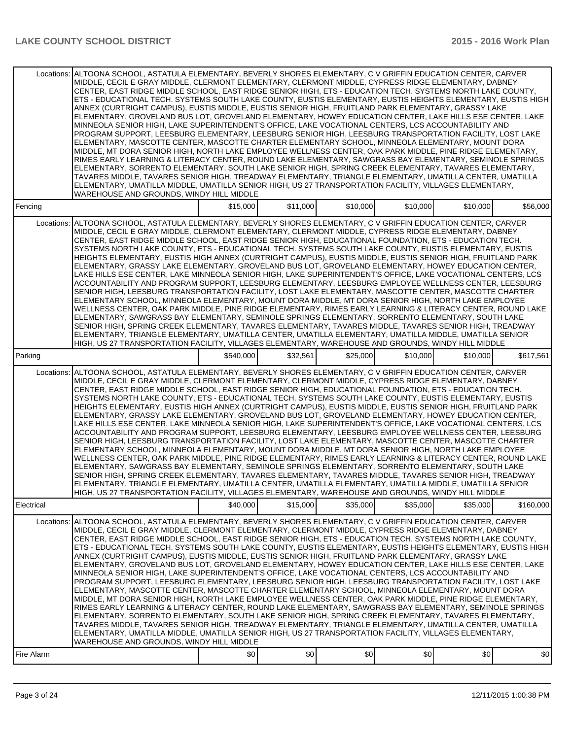|                          | Locations: ALTOONA SCHOOL, ASTATULA ELEMENTARY, BEVERLY SHORES ELEMENTARY, C V GRIFFIN EDUCATION CENTER, CARVER<br>MIDDLE, CECIL E GRAY MIDDLE, CLERMONT ELEMENTARY, CLERMONT MIDDLE, CYPRESS RIDGE ELEMENTARY, DABNEY<br>CENTER. EAST RIDGE MIDDLE SCHOOL. EAST RIDGE SENIOR HIGH. ETS - EDUCATION TECH. SYSTEMS NORTH LAKE COUNTY.<br>ETS - EDUCATIONAL TECH. SYSTEMS SOUTH LAKE COUNTY, EUSTIS ELEMENTARY, EUSTIS HEIGHTS ELEMENTARY, EUSTIS HIGH<br>ANNEX (CURTRIGHT CAMPUS), EUSTIS MIDDLE, EUSTIS SENIOR HIGH, FRUITLAND PARK ELEMENTARY, GRASSY LAKE<br>ELEMENTARY, GROVELAND BUS LOT, GROVELAND ELEMENTARY, HOWEY EDUCATION CENTER, LAKE HILLS ESE CENTER, LAKE<br>MINNEOLA SENIOR HIGH, LAKE SUPERINTENDENT'S OFFICE, LAKE VOCATIONAL CENTERS, LCS ACCOUNTABILITY AND<br>PROGRAM SUPPORT, LEESBURG ELEMENTARY, LEESBURG SENIOR HIGH, LEESBURG TRANSPORTATION FACILITY, LOST LAKE<br>ELEMENTARY, MASCOTTE CENTER, MASCOTTE CHARTER ELEMENTARY SCHOOL, MINNEOLA ELEMENTARY, MOUNT DORA<br>MIDDLE, MT DORA SENIOR HIGH, NORTH LAKE EMPLOYEE WELLNESS CENTER, OAK PARK MIDDLE, PINE RIDGE ELEMENTARY,<br>RIMES EARLY LEARNING & LITERACY CENTER, ROUND LAKE ELEMENTARY, SAWGRASS BAY ELEMENTARY, SEMINOLE SPRINGS<br>ELEMENTARY, SORRENTO ELEMENTARY, SOUTH LAKE SENIOR HIGH, SPRING CREEK ELEMENTARY, TAVARES ELEMENTARY,<br>TAVARES MIDDLE, TAVARES SENIOR HIGH, TREADWAY ELEMENTARY, TRIANGLE ELEMENTARY, UMATILLA CENTER, UMATILLA<br>ELEMENTARY, UMATILLA MIDDLE, UMATILLA SENIOR HIGH, US 27 TRANSPORTATION FACILITY, VILLAGES ELEMENTARY,<br>WAREHOUSE AND GROUNDS, WINDY HILL MIDDLE                                                 |           |          |          |          |          |           |
|--------------------------|---------------------------------------------------------------------------------------------------------------------------------------------------------------------------------------------------------------------------------------------------------------------------------------------------------------------------------------------------------------------------------------------------------------------------------------------------------------------------------------------------------------------------------------------------------------------------------------------------------------------------------------------------------------------------------------------------------------------------------------------------------------------------------------------------------------------------------------------------------------------------------------------------------------------------------------------------------------------------------------------------------------------------------------------------------------------------------------------------------------------------------------------------------------------------------------------------------------------------------------------------------------------------------------------------------------------------------------------------------------------------------------------------------------------------------------------------------------------------------------------------------------------------------------------------------------------------------------------------------------------------------------------------|-----------|----------|----------|----------|----------|-----------|
| Fencing                  |                                                                                                                                                                                                                                                                                                                                                                                                                                                                                                                                                                                                                                                                                                                                                                                                                                                                                                                                                                                                                                                                                                                                                                                                                                                                                                                                                                                                                                                                                                                                                                                                                                                   | \$15,000  | \$11,000 | \$10,000 | \$10,000 | \$10,000 | \$56,000  |
| Locations:               | ALTOONA SCHOOL, ASTATULA ELEMENTARY, BEVERLY SHORES ELEMENTARY, C V GRIFFIN EDUCATION CENTER, CARVER<br>MIDDLE, CECIL E GRAY MIDDLE, CLERMONT ELEMENTARY, CLERMONT MIDDLE, CYPRESS RIDGE ELEMENTARY, DABNEY<br>CENTER, EAST RIDGE MIDDLE SCHOOL, EAST RIDGE SENIOR HIGH, EDUCATIONAL FOUNDATION, ETS - EDUCATION TECH.<br>SYSTEMS NORTH LAKE COUNTY, ETS - EDUCATIONAL TECH. SYSTEMS SOUTH LAKE COUNTY, EUSTIS ELEMENTARY, EUSTIS<br>HEIGHTS ELEMENTARY, EUSTIS HIGH ANNEX (CURTRIGHT CAMPUS), EUSTIS MIDDLE, EUSTIS SENIOR HIGH, FRUITLAND PARK<br>ELEMENTARY, GRASSY LAKE ELEMENTARY, GROVELAND BUS LOT, GROVELAND ELEMENTARY, HOWEY EDUCATION CENTER,<br>LAKE HILLS ESE CENTER, LAKE MINNEOLA SENIOR HIGH, LAKE SUPERINTENDENT'S OFFICE, LAKE VOCATIONAL CENTERS, LCS<br>ACCOUNTABILITY AND PROGRAM SUPPORT, LEESBURG ELEMENTARY, LEESBURG EMPLOYEE WELLNESS CENTER, LEESBURG<br>SENIOR HIGH, LEESBURG TRANSPORTATION FACILITY, LOST LAKE ELEMENTARY, MASCOTTE CENTER, MASCOTTE CHARTER<br>ELEMENTARY SCHOOL, MINNEOLA ELEMENTARY, MOUNT DORA MIDDLE, MT DORA SENIOR HIGH, NORTH LAKE EMPLOYEE<br>WELLNESS CENTER, OAK PARK MIDDLE, PINE RIDGE ELEMENTARY, RIMES EARLY LEARNING & LITERACY CENTER, ROUND LAKE<br>ELEMENTARY, SAWGRASS BAY ELEMENTARY, SEMINOLE SPRINGS ELEMENTARY, SORRENTO ELEMENTARY, SOUTH LAKE<br>SENIOR HIGH, SPRING CREEK ELEMENTARY, TAVARES ELEMENTARY, TAVARES MIDDLE, TAVARES SENIOR HIGH, TREADWAY<br>ELEMENTARY. TRIANGLE ELEMENTARY. UMATILLA CENTER. UMATILLA ELEMENTARY. UMATILLA MIDDLE. UMATILLA SENIOR<br>HIGH, US 27 TRANSPORTATION FACILITY, VILLAGES ELEMENTARY, WAREHOUSE AND GROUNDS, WINDY HILL MIDDLE |           |          |          |          |          |           |
| Parking                  |                                                                                                                                                                                                                                                                                                                                                                                                                                                                                                                                                                                                                                                                                                                                                                                                                                                                                                                                                                                                                                                                                                                                                                                                                                                                                                                                                                                                                                                                                                                                                                                                                                                   | \$540,000 | \$32,561 | \$25,000 | \$10,000 | \$10,000 | \$617,561 |
| Locations:               | ALTOONA SCHOOL, ASTATULA ELEMENTARY, BEVERLY SHORES ELEMENTARY, C V GRIFFIN EDUCATION CENTER, CARVER<br>MIDDLE, CECIL E GRAY MIDDLE, CLERMONT ELEMENTARY, CLERMONT MIDDLE, CYPRESS RIDGE ELEMENTARY, DABNEY<br>CENTER, EAST RIDGE MIDDLE SCHOOL, EAST RIDGE SENIOR HIGH, EDUCATIONAL FOUNDATION, ETS - EDUCATION TECH.<br>SYSTEMS NORTH LAKE COUNTY, ETS - EDUCATIONAL TECH. SYSTEMS SOUTH LAKE COUNTY, EUSTIS ELEMENTARY, EUSTIS<br>HEIGHTS ELEMENTARY, EUSTIS HIGH ANNEX (CURTRIGHT CAMPUS), EUSTIS MIDDLE, EUSTIS SENIOR HIGH, FRUITLAND PARK<br>ELEMENTARY, GRASSY LAKE ELEMENTARY, GROVELAND BUS LOT, GROVELAND ELEMENTARY, HOWEY EDUCATION CENTER,<br>LAKE HILLS ESE CENTER, LAKE MINNEOLA SENIOR HIGH, LAKE SUPERINTENDENT'S OFFICE, LAKE VOCATIONAL CENTERS, LCS<br>ACCOUNTABILITY AND PROGRAM SUPPORT, LEESBURG ELEMENTARY, LEESBURG EMPLOYEE WELLNESS CENTER, LEESBURG<br>SENIOR HIGH, LEESBURG TRANSPORTATION FACILITY, LOST LAKE ELEMENTARY, MASCOTTE CENTER, MASCOTTE CHARTER<br>ELEMENTARY SCHOOL, MINNEOLA ELEMENTARY, MOUNT DORA MIDDLE, MT DORA SENIOR HIGH, NORTH LAKE EMPLOYEE<br>WELLNESS CENTER, OAK PARK MIDDLE, PINE RIDGE ELEMENTARY, RIMES EARLY LEARNING & LITERACY CENTER, ROUND LAKE<br>ELEMENTARY, SAWGRASS BAY ELEMENTARY, SEMINOLE SPRINGS ELEMENTARY, SORRENTO ELEMENTARY, SOUTH LAKE<br>SENIOR HIGH, SPRING CREEK ELEMENTARY, TAVARES ELEMENTARY, TAVARES MIDDLE, TAVARES SENIOR HIGH, TREADWAY<br>ELEMENTARY, TRIANGLE ELEMENTARY, UMATILLA CENTER, UMATILLA ELEMENTARY, UMATILLA MIDDLE, UMATILLA SENIOR<br>HIGH, US 27 TRANSPORTATION FACILITY, VILLAGES ELEMENTARY, WAREHOUSE AND GROUNDS, WINDY HILL MIDDLE |           |          |          |          |          |           |
| Electrical               |                                                                                                                                                                                                                                                                                                                                                                                                                                                                                                                                                                                                                                                                                                                                                                                                                                                                                                                                                                                                                                                                                                                                                                                                                                                                                                                                                                                                                                                                                                                                                                                                                                                   | \$40,000  | \$15,000 | \$35,000 | \$35,000 | \$35,000 | \$160,000 |
| Locations:<br>Fire Alarm | ALTOONA SCHOOL, ASTATULA ELEMENTARY, BEVERLY SHORES ELEMENTARY, C V GRIFFIN EDUCATION CENTER, CARVER<br>MIDDLE, CECIL E GRAY MIDDLE, CLERMONT ELEMENTARY, CLERMONT MIDDLE, CYPRESS RIDGE ELEMENTARY, DABNEY<br>CENTER, EAST RIDGE MIDDLE SCHOOL, EAST RIDGE SENIOR HIGH, ETS - EDUCATION TECH. SYSTEMS NORTH LAKE COUNTY,<br>ETS - EDUCATIONAL TECH. SYSTEMS SOUTH LAKE COUNTY, EUSTIS ELEMENTARY, EUSTIS HEIGHTS ELEMENTARY, EUSTIS HIGH  <br>ANNEX (CURTRIGHT CAMPUS), EUSTIS MIDDLE, EUSTIS SENIOR HIGH, FRUITLAND PARK ELEMENTARY, GRASSY LAKE<br>ELEMENTARY, GROVELAND BUS LOT, GROVELAND ELEMENTARY, HOWEY EDUCATION CENTER, LAKE HILLS ESE CENTER, LAKE<br>MINNEOLA SENIOR HIGH, LAKE SUPERINTENDENT'S OFFICE, LAKE VOCATIONAL CENTERS, LCS ACCOUNTABILITY AND<br>PROGRAM SUPPORT, LEESBURG ELEMENTARY, LEESBURG SENIOR HIGH, LEESBURG TRANSPORTATION FACILITY, LOST LAKE<br>ELEMENTARY, MASCOTTE CENTER, MASCOTTE CHARTER ELEMENTARY SCHOOL, MINNEOLA ELEMENTARY, MOUNT DORA<br>MIDDLE, MT DORA SENIOR HIGH, NORTH LAKE EMPLOYEE WELLNESS CENTER, OAK PARK MIDDLE, PINE RIDGE ELEMENTARY,<br>RIMES EARLY LEARNING & LITERACY CENTER, ROUND LAKE ELEMENTARY, SAWGRASS BAY ELEMENTARY, SEMINOLE SPRINGS<br>ELEMENTARY, SORRENTO ELEMENTARY, SOUTH LAKE SENIOR HIGH, SPRING CREEK ELEMENTARY, TAVARES ELEMENTARY,<br>TAVARES MIDDLE, TAVARES SENIOR HIGH, TREADWAY ELEMENTARY, TRIANGLE ELEMENTARY, UMATILLA CENTER, UMATILLA<br>ELEMENTARY, UMATILLA MIDDLE, UMATILLA SENIOR HIGH, US 27 TRANSPORTATION FACILITY, VILLAGES ELEMENTARY,<br>WAREHOUSE AND GROUNDS, WINDY HILL MIDDLE                                                          | \$0       | \$0      | \$0]     | \$0      | \$0      | \$0       |
|                          |                                                                                                                                                                                                                                                                                                                                                                                                                                                                                                                                                                                                                                                                                                                                                                                                                                                                                                                                                                                                                                                                                                                                                                                                                                                                                                                                                                                                                                                                                                                                                                                                                                                   |           |          |          |          |          |           |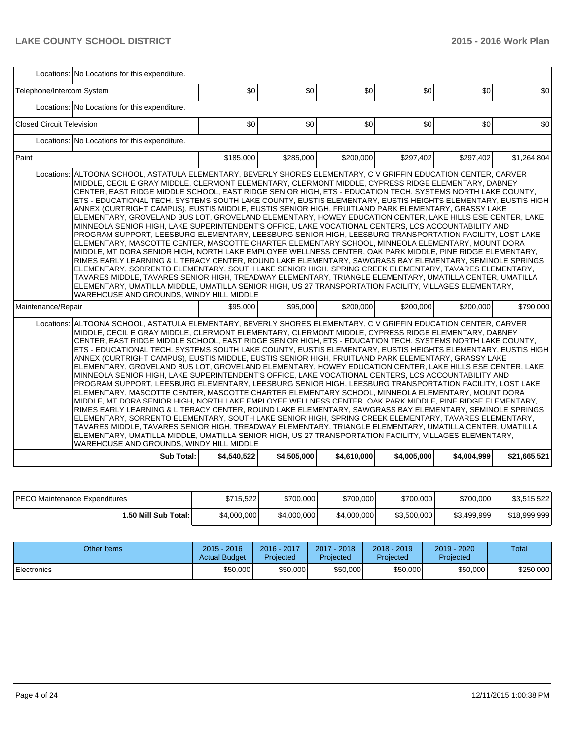|                                  | Locations: No Locations for this expenditure.                                                                                                                                                                                                                                                                                                                                                                                                                                                                                                                                                                                                                                                                                                                                                                                                                                                                                                                                                                                                                                                                                                                                                                                                                                                                                                                                                                                                                                                                                                                                          |             |             |             |             |             |              |  |  |  |  |
|----------------------------------|----------------------------------------------------------------------------------------------------------------------------------------------------------------------------------------------------------------------------------------------------------------------------------------------------------------------------------------------------------------------------------------------------------------------------------------------------------------------------------------------------------------------------------------------------------------------------------------------------------------------------------------------------------------------------------------------------------------------------------------------------------------------------------------------------------------------------------------------------------------------------------------------------------------------------------------------------------------------------------------------------------------------------------------------------------------------------------------------------------------------------------------------------------------------------------------------------------------------------------------------------------------------------------------------------------------------------------------------------------------------------------------------------------------------------------------------------------------------------------------------------------------------------------------------------------------------------------------|-------------|-------------|-------------|-------------|-------------|--------------|--|--|--|--|
| Telephone/Intercom System        |                                                                                                                                                                                                                                                                                                                                                                                                                                                                                                                                                                                                                                                                                                                                                                                                                                                                                                                                                                                                                                                                                                                                                                                                                                                                                                                                                                                                                                                                                                                                                                                        | \$0         | \$0         | \$0         | \$0         | \$0         | \$0          |  |  |  |  |
|                                  | Locations: No Locations for this expenditure.                                                                                                                                                                                                                                                                                                                                                                                                                                                                                                                                                                                                                                                                                                                                                                                                                                                                                                                                                                                                                                                                                                                                                                                                                                                                                                                                                                                                                                                                                                                                          |             |             |             |             |             |              |  |  |  |  |
| <b>Closed Circuit Television</b> |                                                                                                                                                                                                                                                                                                                                                                                                                                                                                                                                                                                                                                                                                                                                                                                                                                                                                                                                                                                                                                                                                                                                                                                                                                                                                                                                                                                                                                                                                                                                                                                        | \$0         | \$0         | \$0         | \$0         | \$0         | \$0          |  |  |  |  |
|                                  | Locations: No Locations for this expenditure.                                                                                                                                                                                                                                                                                                                                                                                                                                                                                                                                                                                                                                                                                                                                                                                                                                                                                                                                                                                                                                                                                                                                                                                                                                                                                                                                                                                                                                                                                                                                          |             |             |             |             |             |              |  |  |  |  |
| Paint                            |                                                                                                                                                                                                                                                                                                                                                                                                                                                                                                                                                                                                                                                                                                                                                                                                                                                                                                                                                                                                                                                                                                                                                                                                                                                                                                                                                                                                                                                                                                                                                                                        | \$185,000   | \$285,000   | \$200,000   | \$297,402   | \$297,402   | \$1,264,804  |  |  |  |  |
| Locations:                       | ALTOONA SCHOOL, ASTATULA ELEMENTARY, BEVERLY SHORES ELEMENTARY, C V GRIFFIN EDUCATION CENTER, CARVER<br>MIDDLE, CECIL E GRAY MIDDLE, CLERMONT ELEMENTARY, CLERMONT MIDDLE, CYPRESS RIDGE ELEMENTARY, DABNEY<br>CENTER, EAST RIDGE MIDDLE SCHOOL, EAST RIDGE SENIOR HIGH, ETS - EDUCATION TECH. SYSTEMS NORTH LAKE COUNTY,<br>ETS - EDUCATIONAL TECH. SYSTEMS SOUTH LAKE COUNTY, EUSTIS ELEMENTARY, EUSTIS HEIGHTS ELEMENTARY, EUSTIS HIGH<br>ANNEX (CURTRIGHT CAMPUS), EUSTIS MIDDLE, EUSTIS SENIOR HIGH, FRUITLAND PARK ELEMENTARY, GRASSY LAKE<br>ELEMENTARY, GROVELAND BUS LOT, GROVELAND ELEMENTARY, HOWEY EDUCATION CENTER, LAKE HILLS ESE CENTER, LAKE<br>MINNEOLA SENIOR HIGH, LAKE SUPERINTENDENT'S OFFICE, LAKE VOCATIONAL CENTERS, LCS ACCOUNTABILITY AND<br>PROGRAM SUPPORT, LEESBURG ELEMENTARY, LEESBURG SENIOR HIGH, LEESBURG TRANSPORTATION FACILITY, LOST LAKE<br>ELEMENTARY, MASCOTTE CENTER, MASCOTTE CHARTER ELEMENTARY SCHOOL, MINNEOLA ELEMENTARY, MOUNT DORA<br>MIDDLE, MT DORA SENIOR HIGH, NORTH LAKE EMPLOYEE WELLNESS CENTER, OAK PARK MIDDLE, PINE RIDGE ELEMENTARY,<br>RIMES EARLY LEARNING & LITERACY CENTER, ROUND LAKE ELEMENTARY, SAWGRASS BAY ELEMENTARY, SEMINOLE SPRINGS<br>ELEMENTARY, SORRENTO ELEMENTARY, SOUTH LAKE SENIOR HIGH, SPRING CREEK ELEMENTARY, TAVARES ELEMENTARY,<br>TAVARES MIDDLE, TAVARES SENIOR HIGH, TREADWAY ELEMENTARY, TRIANGLE ELEMENTARY, UMATILLA CENTER, UMATILLA<br>ELEMENTARY, UMATILLA MIDDLE, UMATILLA SENIOR HIGH, US 27 TRANSPORTATION FACILITY, VILLAGES ELEMENTARY,<br>WAREHOUSE AND GROUNDS, WINDY HILL MIDDLE |             |             |             |             |             |              |  |  |  |  |
| Maintenance/Repair               |                                                                                                                                                                                                                                                                                                                                                                                                                                                                                                                                                                                                                                                                                                                                                                                                                                                                                                                                                                                                                                                                                                                                                                                                                                                                                                                                                                                                                                                                                                                                                                                        | \$95,000    | \$95,000    | \$200,000   | \$200,000   | \$200,000   | \$790.000    |  |  |  |  |
| Locations:                       | ALTOONA SCHOOL, ASTATULA ELEMENTARY, BEVERLY SHORES ELEMENTARY, C V GRIFFIN EDUCATION CENTER, CARVER<br>MIDDLE, CECIL E GRAY MIDDLE, CLERMONT ELEMENTARY, CLERMONT MIDDLE, CYPRESS RIDGE ELEMENTARY, DABNEY<br>CENTER, EAST RIDGE MIDDLE SCHOOL, EAST RIDGE SENIOR HIGH, ETS - EDUCATION TECH. SYSTEMS NORTH LAKE COUNTY,<br>ETS - EDUCATIONAL TECH. SYSTEMS SOUTH LAKE COUNTY, EUSTIS ELEMENTARY, EUSTIS HEIGHTS ELEMENTARY, EUSTIS HIGH<br>ANNEX (CURTRIGHT CAMPUS), EUSTIS MIDDLE, EUSTIS SENIOR HIGH, FRUITLAND PARK ELEMENTARY, GRASSY LAKE<br>ELEMENTARY, GROVELAND BUS LOT, GROVELAND ELEMENTARY, HOWEY EDUCATION CENTER, LAKE HILLS ESE CENTER, LAKE<br>MINNEOLA SENIOR HIGH, LAKE SUPERINTENDENT'S OFFICE, LAKE VOCATIONAL CENTERS, LCS ACCOUNTABILITY AND<br>PROGRAM SUPPORT, LEESBURG ELEMENTARY, LEESBURG SENIOR HIGH, LEESBURG TRANSPORTATION FACILITY, LOST LAKE<br>ELEMENTARY, MASCOTTE CENTER, MASCOTTE CHARTER ELEMENTARY SCHOOL, MINNEOLA ELEMENTARY, MOUNT DORA<br>MIDDLE, MT DORA SENIOR HIGH, NORTH LAKE EMPLOYEE WELLNESS CENTER, OAK PARK MIDDLE, PINE RIDGE ELEMENTARY,<br>RIMES EARLY LEARNING & LITERACY CENTER, ROUND LAKE ELEMENTARY, SAWGRASS BAY ELEMENTARY, SEMINOLE SPRINGS<br>ELEMENTARY, SORRENTO ELEMENTARY, SOUTH LAKE SENIOR HIGH, SPRING CREEK ELEMENTARY, TAVARES ELEMENTARY,<br>TAVARES MIDDLE, TAVARES SENIOR HIGH, TREADWAY ELEMENTARY, TRIANGLE ELEMENTARY, UMATILLA CENTER, UMATILLA<br>ELEMENTARY, UMATILLA MIDDLE, UMATILLA SENIOR HIGH, US 27 TRANSPORTATION FACILITY, VILLAGES ELEMENTARY,<br>WAREHOUSE AND GROUNDS, WINDY HILL MIDDLE |             |             |             |             |             |              |  |  |  |  |
|                                  | <b>Sub Total:</b>                                                                                                                                                                                                                                                                                                                                                                                                                                                                                                                                                                                                                                                                                                                                                                                                                                                                                                                                                                                                                                                                                                                                                                                                                                                                                                                                                                                                                                                                                                                                                                      | \$4,540,522 | \$4,505,000 | \$4,610,000 | \$4,005,000 | \$4,004,999 | \$21,665,521 |  |  |  |  |

| <b>IPECO Maintenance Expenditures</b> | \$715.522   | \$700,000   | \$700,000   | \$700,000   | \$700,000   | \$3.515.522  |
|---------------------------------------|-------------|-------------|-------------|-------------|-------------|--------------|
| I.50 Mill Sub Total: I                | \$4,000,000 | \$4,000,000 | \$4,000,000 | \$3,500,000 | \$3,499,999 | \$18,999,999 |

| Other Items         | $2015 - 2016$<br><b>Actual Budget</b> | 2016 - 2017<br>Projected | $2017 - 2018$<br><b>Projected</b> | $2018 - 2019$<br>Projected | 2019 - 2020<br>Projected | Total     |
|---------------------|---------------------------------------|--------------------------|-----------------------------------|----------------------------|--------------------------|-----------|
| <b>IElectronics</b> | \$50,000                              | \$50,000                 | \$50,000                          | \$50,000                   | \$50,000                 | \$250,000 |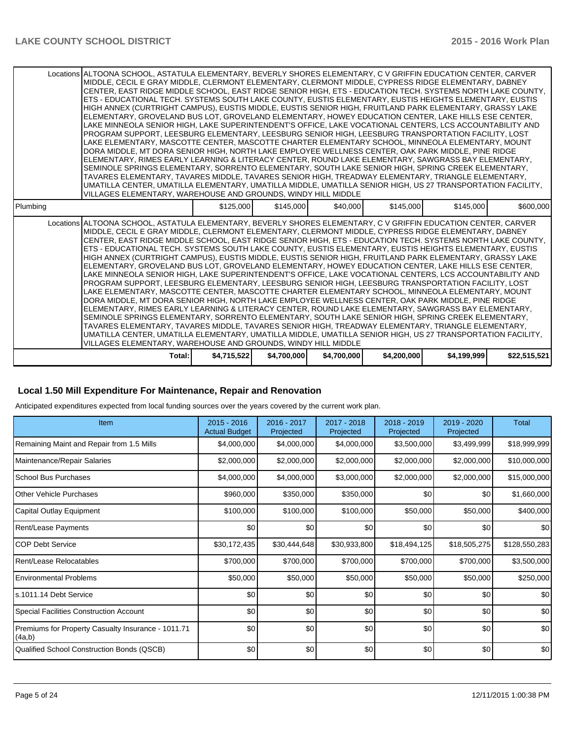|          | Locations ALTOONA SCHOOL. ASTATULA ELEMENTARY. BEVERLY SHORES ELEMENTARY. C V GRIFFIN EDUCATION CENTER. CARVER<br>MIDDLE, CECIL E GRAY MIDDLE, CLERMONT ELEMENTARY, CLERMONT MIDDLE, CYPRESS RIDGE ELEMENTARY, DABNEY<br>CENTER, EAST RIDGE MIDDLE SCHOOL, EAST RIDGE SENIOR HIGH, ETS - EDUCATION TECH. SYSTEMS NORTH LAKE COUNTY,<br>ETS - EDUCATIONAL TECH. SYSTEMS SOUTH LAKE COUNTY, EUSTIS ELEMENTARY, EUSTIS HEIGHTS ELEMENTARY, EUSTIS<br>HIGH ANNEX (CURTRIGHT CAMPUS). EUSTIS MIDDLE. EUSTIS SENIOR HIGH. FRUITLAND PARK ELEMENTARY. GRASSY LAKE<br>ELEMENTARY, GROVELAND BUS LOT, GROVELAND ELEMENTARY, HOWEY EDUCATION CENTER, LAKE HILLS ESE CENTER,<br>LAKE MINNEOLA SENIOR HIGH, LAKE SUPERINTENDENT'S OFFICE, LAKE VOCATIONAL CENTERS, LCS ACCOUNTABILITY AND<br>PROGRAM SUPPORT, LEESBURG ELEMENTARY, LEESBURG SENIOR HIGH, LEESBURG TRANSPORTATION FACILITY, LOST<br>LAKE ELEMENTARY, MASCOTTE CENTER, MASCOTTE CHARTER ELEMENTARY SCHOOL, MINNEOLA ELEMENTARY, MOUNT<br>DORA MIDDLE. MT DORA SENIOR HIGH. NORTH LAKE EMPLOYEE WELLNESS CENTER. OAK PARK MIDDLE. PINE RIDGE<br>ELEMENTARY, RIMES EARLY LEARNING & LITERACY CENTER, ROUND LAKE ELEMENTARY, SAWGRASS BAY ELEMENTARY,<br>SEMINOLE SPRINGS ELEMENTARY, SORRENTO ELEMENTARY, SOUTH LAKE SENIOR HIGH, SPRING CREEK ELEMENTARY,<br>TAVARES ELEMENTARY, TAVARES MIDDLE, TAVARES SENIOR HIGH, TREADWAY ELEMENTARY, TRIANGLE ELEMENTARY,<br>UMATILLA CENTER, UMATILLA ELEMENTARY, UMATILLA MIDDLE, UMATILLA SENIOR HIGH, US 27 TRANSPORTATION FACILITY,<br>VILLAGES ELEMENTARY, WAREHOUSE AND GROUNDS, WINDY HILL MIDDLE |             |             |             |             |             |              |
|----------|--------------------------------------------------------------------------------------------------------------------------------------------------------------------------------------------------------------------------------------------------------------------------------------------------------------------------------------------------------------------------------------------------------------------------------------------------------------------------------------------------------------------------------------------------------------------------------------------------------------------------------------------------------------------------------------------------------------------------------------------------------------------------------------------------------------------------------------------------------------------------------------------------------------------------------------------------------------------------------------------------------------------------------------------------------------------------------------------------------------------------------------------------------------------------------------------------------------------------------------------------------------------------------------------------------------------------------------------------------------------------------------------------------------------------------------------------------------------------------------------------------------------------------------------------------------------------------------------------|-------------|-------------|-------------|-------------|-------------|--------------|
| Plumbing |                                                                                                                                                                                                                                                                                                                                                                                                                                                                                                                                                                                                                                                                                                                                                                                                                                                                                                                                                                                                                                                                                                                                                                                                                                                                                                                                                                                                                                                                                                                                                                                                  | \$125,000   | \$145,000   | \$40,000    | \$145,000   | \$145,000   | \$600,000    |
|          | Locations ALTOONA SCHOOL. ASTATULA ELEMENTARY. BEVERLY SHORES ELEMENTARY. C V GRIFFIN EDUCATION CENTER. CARVER<br>MIDDLE, CECIL E GRAY MIDDLE, CLERMONT ELEMENTARY, CLERMONT MIDDLE, CYPRESS RIDGE ELEMENTARY, DABNEY<br>CENTER. EAST RIDGE MIDDLE SCHOOL. EAST RIDGE SENIOR HIGH. ETS - EDUCATION TECH. SYSTEMS NORTH LAKE COUNTY.<br>ETS - EDUCATIONAL TECH. SYSTEMS SOUTH LAKE COUNTY, EUSTIS ELEMENTARY, EUSTIS HEIGHTS ELEMENTARY, EUSTIS<br>HIGH ANNEX (CURTRIGHT CAMPUS), EUSTIS MIDDLE, EUSTIS SENIOR HIGH, FRUITLAND PARK ELEMENTARY, GRASSY LAKE<br>ELEMENTARY, GROVELAND BUS LOT, GROVELAND ELEMENTARY, HOWEY EDUCATION CENTER, LAKE HILLS ESE CENTER,<br>LAKE MINNEOLA SENIOR HIGH, LAKE SUPERINTENDENT'S OFFICE, LAKE VOCATIONAL CENTERS, LCS ACCOUNTABILITY AND<br>PROGRAM SUPPORT, LEESBURG ELEMENTARY, LEESBURG SENIOR HIGH, LEESBURG TRANSPORTATION FACILITY, LOST<br>LAKE ELEMENTARY, MASCOTTE CENTER, MASCOTTE CHARTER ELEMENTARY SCHOOL, MINNEOLA ELEMENTARY, MOUNT<br>DORA MIDDLE, MT DORA SENIOR HIGH, NORTH LAKE EMPLOYEE WELLNESS CENTER, OAK PARK MIDDLE, PINE RIDGE<br>ELEMENTARY, RIMES EARLY LEARNING & LITERACY CENTER, ROUND LAKE ELEMENTARY, SAWGRASS BAY ELEMENTARY,<br>SEMINOLE SPRINGS ELEMENTARY, SORRENTO ELEMENTARY, SOUTH LAKE SENIOR HIGH, SPRING CREEK ELEMENTARY,<br>TAVARES ELEMENTARY, TAVARES MIDDLE, TAVARES SENIOR HIGH, TREADWAY ELEMENTARY, TRIANGLE ELEMENTARY,<br>UMATILLA CENTER, UMATILLA ELEMENTARY, UMATILLA MIDDLE, UMATILLA SENIOR HIGH, US 27 TRANSPORTATION FACILITY,<br>VILLAGES ELEMENTARY, WAREHOUSE AND GROUNDS, WINDY HILL MIDDLE |             |             |             |             |             |              |
|          | Total:                                                                                                                                                                                                                                                                                                                                                                                                                                                                                                                                                                                                                                                                                                                                                                                                                                                                                                                                                                                                                                                                                                                                                                                                                                                                                                                                                                                                                                                                                                                                                                                           | \$4,715,522 | \$4,700,000 | \$4,700,000 | \$4,200,000 | \$4,199,999 | \$22,515,521 |

### **Local 1.50 Mill Expenditure For Maintenance, Repair and Renovation**

Anticipated expenditures expected from local funding sources over the years covered by the current work plan.

| Item                                                         | $2015 - 2016$<br><b>Actual Budget</b> | 2016 - 2017<br>Projected | 2017 - 2018<br>Projected | 2018 - 2019<br>Projected | 2019 - 2020<br>Projected | <b>Total</b>  |
|--------------------------------------------------------------|---------------------------------------|--------------------------|--------------------------|--------------------------|--------------------------|---------------|
| Remaining Maint and Repair from 1.5 Mills                    | \$4,000,000                           | \$4,000,000              | \$4,000,000              | \$3,500,000              | \$3,499,999              | \$18,999,999  |
| Maintenance/Repair Salaries                                  | \$2,000,000                           | \$2,000,000              | \$2,000,000              | \$2,000,000              | \$2,000,000              | \$10,000,000  |
| <b>School Bus Purchases</b>                                  | \$4,000,000                           | \$4,000,000              | \$3,000,000              | \$2,000,000              | \$2,000,000              | \$15,000,000  |
| Other Vehicle Purchases                                      | \$960,000                             | \$350,000                | \$350,000                | \$0                      | \$0                      | \$1,660,000   |
| Capital Outlay Equipment                                     | \$100,000                             | \$100,000                | \$100,000                | \$50,000                 | \$50,000                 | \$400,000     |
| Rent/Lease Payments                                          | \$0                                   | \$0                      | \$0                      | \$0                      | \$0                      | \$0           |
| ICOP Debt Service                                            | \$30,172,435                          | \$30,444,648             | \$30,933,800             | \$18,494,125             | \$18,505,275             | \$128,550,283 |
| Rent/Lease Relocatables                                      | \$700,000                             | \$700,000                | \$700,000                | \$700,000                | \$700,000                | \$3,500,000   |
| Environmental Problems                                       | \$50,000                              | \$50,000                 | \$50,000                 | \$50,000                 | \$50,000                 | \$250,000     |
| ls.1011.14 Debt Service                                      | \$0                                   | \$0                      | \$0                      | \$0                      | \$0                      | \$0           |
| Special Facilities Construction Account                      | \$0                                   | \$0                      | \$0                      | \$0                      | \$0                      | \$0           |
| Premiums for Property Casualty Insurance - 1011.71<br>(4a,b) | \$0                                   | \$0                      | \$0                      | \$0                      | \$0                      | \$0           |
| Qualified School Construction Bonds (QSCB)                   | \$0                                   | \$0                      | \$0                      | \$0                      | \$0                      | \$0           |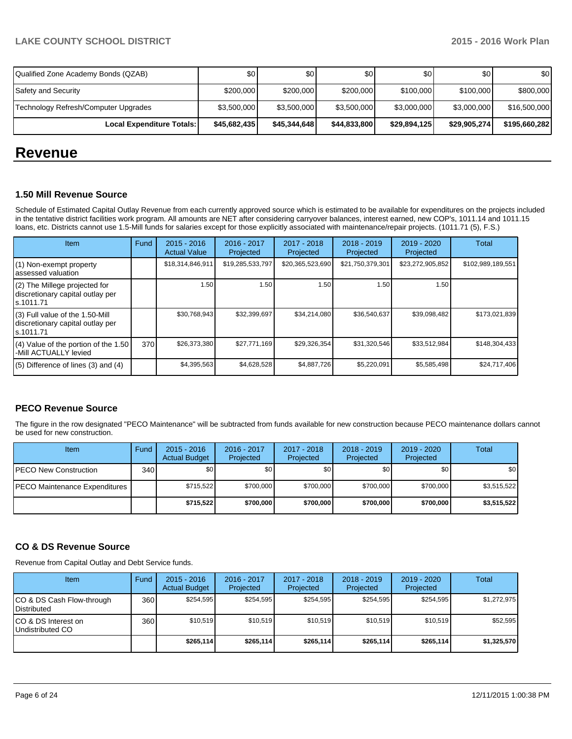| Local Expenditure Totals:            | \$45,682,435 | \$45,344,648 | \$44,833,800 | \$29,894,125 | \$29,905,274]    | \$195,660,282 |
|--------------------------------------|--------------|--------------|--------------|--------------|------------------|---------------|
| Technology Refresh/Computer Upgrades | \$3,500,000  | \$3,500,000  | \$3,500,000  | \$3,000,000  | \$3,000,000      | \$16,500,000  |
| <b>Safety and Security</b>           | \$200,000    | \$200,000    | \$200,000    | \$100,000    | \$100,000        | \$800,000     |
| Qualified Zone Academy Bonds (QZAB)  | \$0          | \$0          | 30           | \$0          | \$0 <sub>1</sub> | \$0           |

# **Revenue**

#### **1.50 Mill Revenue Source**

Schedule of Estimated Capital Outlay Revenue from each currently approved source which is estimated to be available for expenditures on the projects included in the tentative district facilities work program. All amounts are NET after considering carryover balances, interest earned, new COP's, 1011.14 and 1011.15 loans, etc. Districts cannot use 1.5-Mill funds for salaries except for those explicitly associated with maintenance/repair projects. (1011.71 (5), F.S.)

| Item                                                                                | Fund | $2015 - 2016$<br><b>Actual Value</b> | 2016 - 2017<br>Projected | 2017 - 2018<br>Projected | $2018 - 2019$<br>Projected | 2019 - 2020<br>Projected | Total             |
|-------------------------------------------------------------------------------------|------|--------------------------------------|--------------------------|--------------------------|----------------------------|--------------------------|-------------------|
| (1) Non-exempt property<br>lassessed valuation                                      |      | \$18,314,846,911                     | \$19,285,533,797         | \$20,365,523,690         | \$21,750,379,301           | \$23,272,905,852         | \$102,989,189,551 |
| $(2)$ The Millege projected for<br>discretionary capital outlay per<br>ls.1011.71   |      | 1.50                                 | 1.50                     | 1.50                     | 1.50                       | 1.50                     |                   |
| $(3)$ Full value of the 1.50-Mill<br>discretionary capital outlay per<br>ls.1011.71 |      | \$30,768,943                         | \$32,399,697             | \$34,214,080             | \$36,540,637               | \$39,098,482             | \$173,021,839     |
| (4) Value of the portion of the 1.50<br>I-Mill ACTUALLY levied                      | 370  | \$26,373,380                         | \$27,771,169             | \$29,326,354             | \$31,320,546               | \$33,512,984             | \$148,304,433     |
| $(5)$ Difference of lines (3) and (4)                                               |      | \$4,395,563                          | \$4,628,528              | \$4,887,726              | \$5,220,091                | \$5,585,498              | \$24,717,406      |

# **PECO Revenue Source**

The figure in the row designated "PECO Maintenance" will be subtracted from funds available for new construction because PECO maintenance dollars cannot be used for new construction.

| Item                          | Fund | $2015 - 2016$<br><b>Actual Budget</b> | 2016 - 2017<br>Projected | $2017 - 2018$<br>Projected | $2018 - 2019$<br>Projected | 2019 - 2020<br>Projected | Total       |
|-------------------------------|------|---------------------------------------|--------------------------|----------------------------|----------------------------|--------------------------|-------------|
| IPECO New Construction        | 340  | \$0                                   | \$0 <sub>1</sub>         | \$0 <sub>1</sub>           | \$0                        | \$0                      | \$0         |
| PECO Maintenance Expenditures |      | \$715.522                             | \$700,000                | \$700,000                  | \$700,000                  | \$700,000                | \$3,515,522 |
|                               |      | \$715,522                             | \$700,000                | \$700,000                  | \$700,000                  | \$700,000                | \$3,515,522 |

# **CO & DS Revenue Source**

Revenue from Capital Outlay and Debt Service funds.

| Item                                               | Fund | $2015 - 2016$<br><b>Actual Budget</b> | $2016 - 2017$<br>Projected | $2017 - 2018$<br>Projected | $2018 - 2019$<br>Projected | $2019 - 2020$<br>Projected | Total       |
|----------------------------------------------------|------|---------------------------------------|----------------------------|----------------------------|----------------------------|----------------------------|-------------|
| ICO & DS Cash Flow-through<br><b>I</b> Distributed | 360  | \$254.595                             | \$254,595                  | \$254.595                  | \$254.595                  | \$254.595                  | \$1,272,975 |
| ICO & DS Interest on<br>Undistributed CO           | 360  | \$10.519                              | \$10.519                   | \$10,519                   | \$10.519                   | \$10,519                   | \$52,595    |
|                                                    |      | \$265,114                             | \$265,114                  | \$265,114                  | \$265,114                  | \$265,114                  | \$1,325,570 |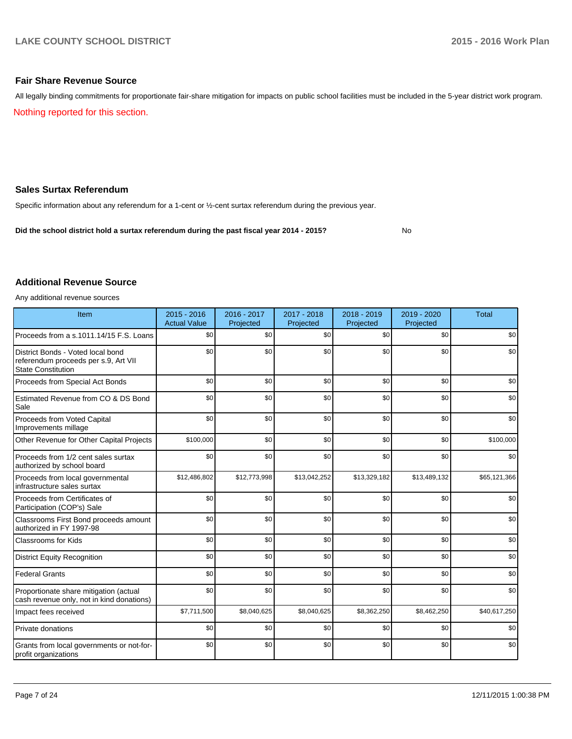#### **Fair Share Revenue Source**

All legally binding commitments for proportionate fair-share mitigation for impacts on public school facilities must be included in the 5-year district work program.

Nothing reported for this section.

### **Sales Surtax Referendum**

Specific information about any referendum for a 1-cent or ½-cent surtax referendum during the previous year.

**Did the school district hold a surtax referendum during the past fiscal year 2014 - 2015?**

No

#### **Additional Revenue Source**

Any additional revenue sources

| Item                                                                                                   | $2015 - 2016$<br><b>Actual Value</b> | $2016 - 2017$<br>Projected | 2017 - 2018<br>Projected | $2018 - 2019$<br>Projected | 2019 - 2020<br>Projected | <b>Total</b> |
|--------------------------------------------------------------------------------------------------------|--------------------------------------|----------------------------|--------------------------|----------------------------|--------------------------|--------------|
| Proceeds from a s.1011.14/15 F.S. Loans                                                                | \$0                                  | \$0                        | \$0                      | \$0                        | \$0                      | \$0          |
| District Bonds - Voted local bond<br>referendum proceeds per s.9, Art VII<br><b>State Constitution</b> | \$0                                  | \$0                        | \$0                      | \$0                        | \$0                      | \$0          |
| Proceeds from Special Act Bonds                                                                        | \$0                                  | \$0                        | \$0                      | \$0                        | \$0                      | \$0          |
| Estimated Revenue from CO & DS Bond<br>Sale                                                            | \$0                                  | \$0                        | \$0                      | \$0                        | \$0                      | \$0          |
| Proceeds from Voted Capital<br>Improvements millage                                                    | \$0                                  | \$0                        | \$0                      | $s$ <sub>0</sub>           | \$0                      | \$0          |
| Other Revenue for Other Capital Projects                                                               | \$100,000                            | \$0                        | \$0                      | \$0                        | \$0                      | \$100,000    |
| Proceeds from 1/2 cent sales surtax<br>authorized by school board                                      | \$0                                  | \$0                        | \$0                      | \$0                        | \$0                      | \$0          |
| Proceeds from local governmental<br>infrastructure sales surtax                                        | \$12,486,802                         | \$12,773,998               | \$13,042,252             | \$13,329,182               | \$13,489,132             | \$65,121,366 |
| Proceeds from Certificates of<br>Participation (COP's) Sale                                            | \$0                                  | \$0                        | \$0                      | \$0                        | \$0                      | \$0          |
| Classrooms First Bond proceeds amount<br>authorized in FY 1997-98                                      | \$0                                  | \$0                        | \$0                      | \$0                        | \$0                      | \$0          |
| <b>Classrooms for Kids</b>                                                                             | \$0                                  | \$0                        | \$0                      | \$0                        | \$0                      | \$0          |
| <b>District Equity Recognition</b>                                                                     | \$0                                  | \$0                        | \$0                      | \$0                        | \$0                      | \$0          |
| <b>Federal Grants</b>                                                                                  | \$0                                  | \$0                        | \$0                      | \$0                        | \$0                      | \$0          |
| Proportionate share mitigation (actual<br>cash revenue only, not in kind donations)                    | \$0                                  | \$0                        | \$0                      | \$0                        | \$0                      | \$0          |
| Impact fees received                                                                                   | \$7,711,500                          | \$8,040,625                | \$8,040,625              | \$8,362,250                | \$8,462,250              | \$40,617,250 |
| Private donations                                                                                      | \$0                                  | \$0                        | \$0                      | $s$ <sub>0</sub>           | \$0                      | \$0          |
| Grants from local governments or not-for-<br>profit organizations                                      | \$0                                  | \$0                        | \$0                      | \$0                        | \$0                      | \$0          |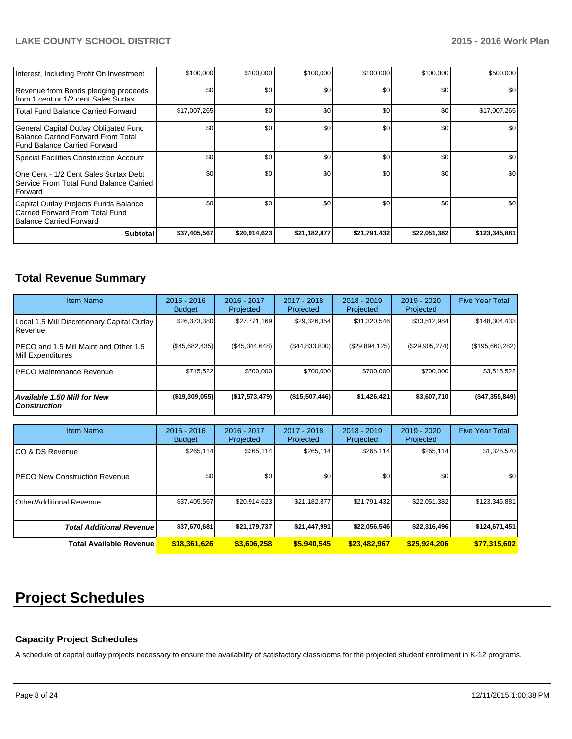| Balance Carried Forward<br><b>Subtotal</b>                                                                    | \$37,405,567 | \$20,914,623 | \$21,182,877 | \$21,791,432 | \$22,051,382 | \$123,345,881    |
|---------------------------------------------------------------------------------------------------------------|--------------|--------------|--------------|--------------|--------------|------------------|
| Capital Outlay Projects Funds Balance<br>Carried Forward From Total Fund                                      | \$0          | \$0          | \$0          | \$0          | \$0          | \$0              |
| IOne Cent - 1/2 Cent Sales Surtax Debt<br>l Service From Total Fund Balance Carried<br><b>IForward</b>        | \$0          | \$0          | \$0          | \$0          | \$0          | \$0              |
| Special Facilities Construction Account                                                                       | \$0          | \$0          | \$0          | \$0          | \$0          | \$0              |
| General Capital Outlay Obligated Fund<br>Balance Carried Forward From Total<br>l Fund Balance Carried Forward | \$0          | \$0          | \$0          | \$0          | \$0          | \$0 <sub>1</sub> |
| Total Fund Balance Carried Forward                                                                            | \$17,007,265 | \$0          | \$0          | \$0          | \$0          | \$17,007,265     |
| Revenue from Bonds pledging proceeds<br>Ifrom 1 cent or 1/2 cent Sales Surtax                                 | \$0          | \$0          | \$0          | \$0          | \$0          | \$0 <sub>1</sub> |
| Interest, Including Profit On Investment                                                                      | \$100,000    | \$100,000    | \$100,000    | \$100,000    | \$100,000    | \$500,000        |

# **Total Revenue Summary**

| <b>Item Name</b>                                                  | $2015 - 2016$<br><b>Budget</b> | $2016 - 2017$<br>Projected | $2017 - 2018$<br>Projected | $2018 - 2019$<br>Projected | $2019 - 2020$<br>Projected | <b>Five Year Total</b> |
|-------------------------------------------------------------------|--------------------------------|----------------------------|----------------------------|----------------------------|----------------------------|------------------------|
| Local 1.5 Mill Discretionary Capital Outlay  <br><b>I</b> Revenue | \$26,373,380                   | \$27,771,169               | \$29,326,354               | \$31,320,546               | \$33,512,984               | \$148,304,433          |
| IPECO and 1.5 Mill Maint and Other 1.5<br>Mill Expenditures       | (\$45,682,435)                 | (\$45,344,648)             | (S44, 833, 800)            | $(\$29,894,125)$           | (\$29,905,274)             | (\$195,660,282)        |
| IPECO Maintenance Revenue                                         | \$715,522                      | \$700,000                  | \$700,000                  | \$700,000                  | \$700,000                  | \$3,515,522            |
| Available 1.50 Mill for New l<br>l Construction                   | $($ \$19,309,055)              | (\$17,573,479]             | (\$15,507,446)             | \$1,426,421                | \$3,607,710                | (\$47,355,849)         |

| <b>Item Name</b>                      | $2015 - 2016$<br><b>Budget</b> | $2016 - 2017$<br>Projected | $2017 - 2018$<br><b>Projected</b> | $2018 - 2019$<br>Projected | $2019 - 2020$<br>Projected | <b>Five Year Total</b> |
|---------------------------------------|--------------------------------|----------------------------|-----------------------------------|----------------------------|----------------------------|------------------------|
| ICO & DS Revenue                      | \$265,114                      | \$265,114                  | \$265,114                         | \$265,114                  | \$265,114                  | \$1,325,570            |
| <b>IPECO New Construction Revenue</b> | \$0 <sub>1</sub>               | \$0                        | \$0                               | \$0                        | \$0 <sub>l</sub>           | \$0                    |
| <b>Other/Additional Revenue</b>       | \$37,405,567                   | \$20,914,623               | \$21,182,877                      | \$21.791.432               | \$22,051,382               | \$123,345,881          |
| <b>Total Additional Revenuel</b>      | \$37,670,681                   | \$21,179,737               | \$21,447,991                      | \$22,056,546               | \$22,316,496               | \$124,671,451          |
| Total Available Revenue               | \$18,361,626                   | \$3,606.258                | \$5,940,545                       | \$23,482.967               | \$25,924,206               | \$77,315,602           |

# **Project Schedules**

# **Capacity Project Schedules**

A schedule of capital outlay projects necessary to ensure the availability of satisfactory classrooms for the projected student enrollment in K-12 programs.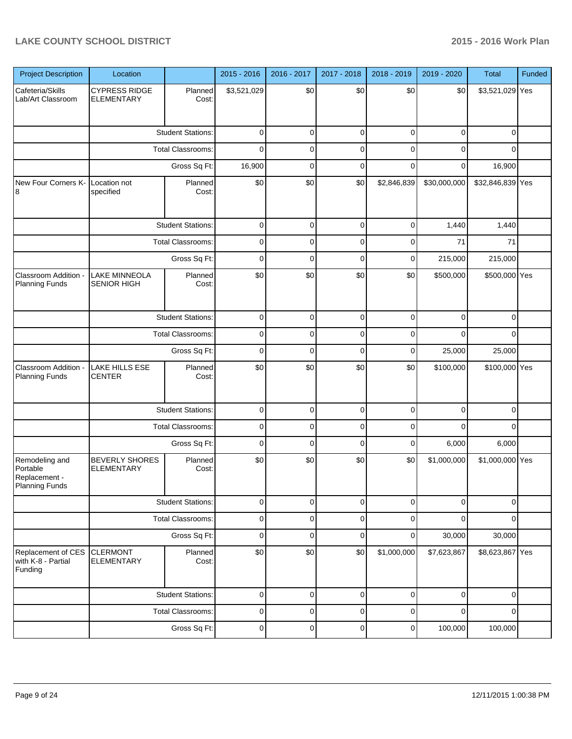| <b>Project Description</b>                                           | Location                                   |                          | 2015 - 2016 | 2016 - 2017 | 2017 - 2018 | 2018 - 2019 | 2019 - 2020  | Total            | Funded |
|----------------------------------------------------------------------|--------------------------------------------|--------------------------|-------------|-------------|-------------|-------------|--------------|------------------|--------|
| Cafeteria/Skills<br>Lab/Art Classroom                                | <b>CYPRESS RIDGE</b><br>ELEMENTARY         | Planned<br>Cost:         | \$3,521,029 | \$0         | \$0         | \$0         | \$0          | \$3,521,029 Yes  |        |
|                                                                      |                                            | <b>Student Stations:</b> | $\mathbf 0$ | $\mathbf 0$ | $\mathbf 0$ | $\mathbf 0$ | $\mathbf 0$  | 0                |        |
|                                                                      |                                            | <b>Total Classrooms:</b> | $\mathbf 0$ | 0           | $\mathbf 0$ | 0           | 0            | 0                |        |
|                                                                      |                                            | Gross Sq Ft:             | 16,900      | $\mathbf 0$ | $\mathbf 0$ | $\Omega$    | $\mathbf 0$  | 16,900           |        |
| New Four Corners K- Location not<br>8                                | specified                                  | Planned<br>Cost:         | \$0         | \$0         | \$0         | \$2,846,839 | \$30,000,000 | \$32,846,839 Yes |        |
|                                                                      |                                            | <b>Student Stations:</b> | 0           | 0           | 0           | 0           | 1,440        | 1,440            |        |
|                                                                      |                                            | Total Classrooms:        | 0           | 0           | 0           | 0           | 71           | 71               |        |
|                                                                      |                                            | Gross Sq Ft:             | 0           | 0           | 0           | 0           | 215,000      | 215,000          |        |
| Classroom Addition -<br><b>Planning Funds</b>                        | <b>LAKE MINNEOLA</b><br>SENIOR HIGH        | Planned<br>Cost:         | \$0         | \$0         | \$0         | \$0         | \$500,000    | \$500,000 Yes    |        |
|                                                                      |                                            | <b>Student Stations:</b> | $\mathbf 0$ | $\mathbf 0$ | $\mathbf 0$ | $\mathbf 0$ | $\mathbf 0$  | $\mathbf 0$      |        |
|                                                                      | Total Classrooms:                          |                          | $\mathbf 0$ | $\mathbf 0$ | $\mathbf 0$ | 0           | $\Omega$     | $\Omega$         |        |
|                                                                      |                                            | Gross Sq Ft:             | $\mathbf 0$ | $\mathbf 0$ | $\mathbf 0$ | $\mathbf 0$ | 25,000       | 25,000           |        |
| Classroom Addition -<br><b>Planning Funds</b>                        | <b>LAKE HILLS ESE</b><br><b>CENTER</b>     | Planned<br>Cost:         | \$0         | \$0         | \$0         | \$0         | \$100,000    | \$100,000 Yes    |        |
|                                                                      |                                            | <b>Student Stations:</b> | 0           | 0           | $\mathbf 0$ | 0           | 0            | 0                |        |
|                                                                      |                                            | Total Classrooms:        | 0           | 0           | 0           | 0           | 0            | 0                |        |
|                                                                      |                                            | Gross Sq Ft:             | 0           | $\mathbf 0$ | 0           | $\mathbf 0$ | 6,000        | 6,000            |        |
| Remodeling and<br>Portable<br>Replacement -<br><b>Planning Funds</b> | <b>BEVERLY SHORES</b><br><b>ELEMENTARY</b> | Planned<br>Cost:         | \$0         | \$0         | \$0         | \$0         | \$1,000,000  | \$1,000,000 Yes  |        |
|                                                                      |                                            | <b>Student Stations:</b> | $\mathbf 0$ | $\mathbf 0$ | $\mathbf 0$ | $\mathbf 0$ | $\mathbf 0$  | 0                |        |
|                                                                      |                                            | Total Classrooms:        | $\pmb{0}$   | $\pmb{0}$   | $\mathbf 0$ | $\mathbf 0$ | $\mathbf 0$  | $\mathbf 0$      |        |
|                                                                      |                                            | Gross Sq Ft:             | $\mathbf 0$ | $\mathbf 0$ | $\mathbf 0$ | 0           | 30,000       | 30,000           |        |
| Replacement of CES<br>with K-8 - Partial<br>Funding                  | <b>CLERMONT</b><br><b>ELEMENTARY</b>       | Planned<br>Cost:         | \$0         | \$0         | \$0         | \$1,000,000 | \$7,623,867  | \$8,623,867 Yes  |        |
|                                                                      |                                            | <b>Student Stations:</b> | $\mathbf 0$ | $\mathbf 0$ | $\mathbf 0$ | 0           | $\mathbf 0$  | $\mathbf 0$      |        |
|                                                                      |                                            | Total Classrooms:        | $\pmb{0}$   | $\mathbf 0$ | $\mathbf 0$ | 0           | 0            | 0                |        |
|                                                                      |                                            | Gross Sq Ft:             | $\pmb{0}$   | $\pmb{0}$   | $\mathbf 0$ | $\pmb{0}$   | 100,000      | 100,000          |        |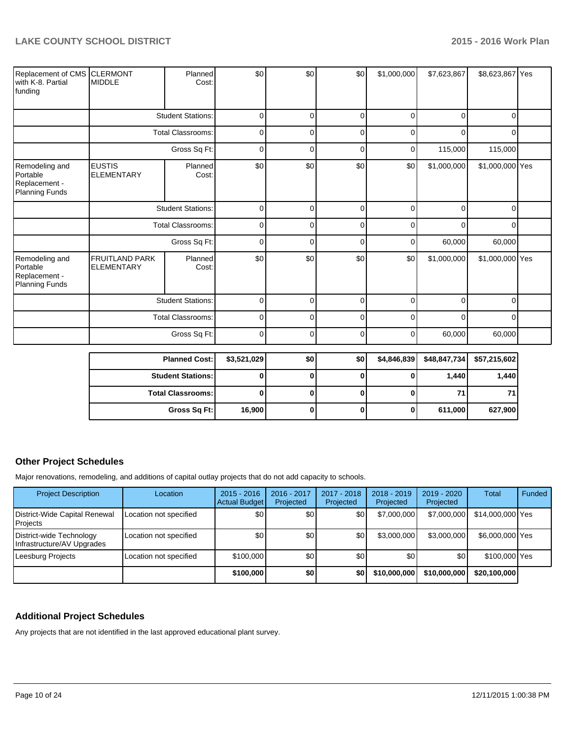| Replacement of CMS CLERMONT<br>with K-8. Partial<br>funding   | <b>MIDDLE</b>                       | Planned<br>Cost:         | \$0         | \$0      | \$0 | \$1,000,000 | \$7,623,867 | \$8,623,867 Yes |  |
|---------------------------------------------------------------|-------------------------------------|--------------------------|-------------|----------|-----|-------------|-------------|-----------------|--|
|                                                               |                                     | <b>Student Stations:</b> | 0           | 0        | 0   | 0           | 0           | 0               |  |
|                                                               | <b>Total Classrooms:</b>            |                          | 0           | $\Omega$ | 0   | 0           | 0           | 0               |  |
|                                                               | Gross Sq Ft:                        |                          | 0           | 0        | 0   | 0           | 115,000     | 115,000         |  |
| Remodeling and<br>Portable<br>Replacement -<br>Planning Funds | <b>EUSTIS</b><br><b>ELEMENTARY</b>  | Planned<br>Cost:         | \$0         | \$0      | \$0 | \$0         | \$1,000,000 | \$1,000,000 Yes |  |
|                                                               | <b>Student Stations:</b>            |                          | 0           | 0        | 0   | 0           | 0           | 0               |  |
|                                                               | <b>Total Classrooms:</b>            |                          | 0           | 0        | 0   | 0           | 0           | 0               |  |
|                                                               |                                     | Gross Sq Ft:             | $\Omega$    | $\Omega$ | 0   | 0           | 60,000      | 60,000          |  |
| Remodeling and<br>Portable<br>Replacement -<br>Planning Funds | FRUITLAND PARK<br><b>ELEMENTARY</b> | Planned<br>Cost:         | \$0         | \$0      | \$0 | \$0         | \$1,000,000 | \$1,000,000 Yes |  |
|                                                               |                                     | <b>Student Stations:</b> | 0           | 0        | 0   | 0           | 0           | 0               |  |
|                                                               |                                     | Total Classrooms:        | 0           | $\Omega$ | 0   | $\Omega$    | 0           | 0               |  |
|                                                               |                                     | Gross Sq Ft:             | 0           | 0        | 0   | 0           | 60,000      | 60,000          |  |
|                                                               |                                     | <b>Dianned Casts</b>     | en sos nonl | ¢∩ا      | ¢∩ا | 0.000       | 40017721    | $EZ$ 245 $EQ$   |  |

| <b>Planned Cost:</b>       | \$3,521,029 | \$0 | \$0 | $$4,846,839$ $$48,847,734$ | \$57,215,602 |
|----------------------------|-------------|-----|-----|----------------------------|--------------|
| <b>Student Stations: I</b> |             |     |     | 1.440                      | 1,440        |
| <b>Total Classrooms:</b>   |             |     |     | 71                         | 71 I         |
| Gross Sq Ft:               | 16,900      |     |     | 611,000                    | 627,900      |

### **Other Project Schedules**

Major renovations, remodeling, and additions of capital outlay projects that do not add capacity to schools.

| <b>Project Description</b>                             | Location               | $2015 - 2016$<br><b>Actual Budget</b> | $2016 - 2017$<br>Projected | 2017 - 2018<br>Projected | 2018 - 2019<br>Projected | 2019 - 2020<br>Projected | Total            | Funded |
|--------------------------------------------------------|------------------------|---------------------------------------|----------------------------|--------------------------|--------------------------|--------------------------|------------------|--------|
| District-Wide Capital Renewal<br>Projects              | Location not specified | \$0                                   | \$0                        | \$0                      | \$7,000,000              | \$7,000,000              | \$14,000,000 Yes |        |
| District-wide Technology<br>Infrastructure/AV Upgrades | Location not specified | \$0                                   | \$0                        | \$0                      | \$3,000,000              | \$3,000,000              | \$6,000,000 Yes  |        |
| Leesburg Projects                                      | Location not specified | \$100,000                             | \$0                        | \$0                      | \$0                      | \$0                      | \$100,000 Yes    |        |
|                                                        |                        | \$100,000                             | \$0                        | \$0                      | \$10,000,000             | \$10,000,000             | \$20,100,000     |        |

# **Additional Project Schedules**

Any projects that are not identified in the last approved educational plant survey.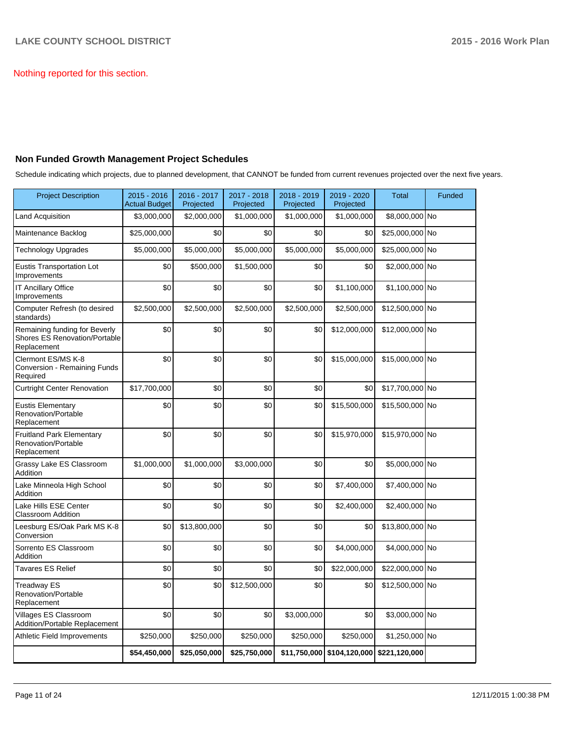Nothing reported for this section.

### **Non Funded Growth Management Project Schedules**

Schedule indicating which projects, due to planned development, that CANNOT be funded from current revenues projected over the next five years.

| <b>Project Description</b>                                                    | $2015 - 2016$<br>Actual Budget | 2016 - 2017<br>Projected | 2017 - 2018<br>Projected | 2018 - 2019<br>Projected | 2019 - 2020<br>Projected   | <b>Total</b>    | Funded |
|-------------------------------------------------------------------------------|--------------------------------|--------------------------|--------------------------|--------------------------|----------------------------|-----------------|--------|
| Land Acquisition                                                              | \$3,000,000                    | \$2,000,000              | \$1,000,000              | \$1,000,000              | \$1,000,000                | \$8,000,000 No  |        |
| Maintenance Backlog                                                           | \$25,000,000                   | \$0                      | \$0                      | \$0                      | \$0                        | \$25,000,000 No |        |
| <b>Technology Upgrades</b>                                                    | \$5,000,000                    | \$5,000,000              | \$5,000,000              | \$5,000,000              | \$5,000,000                | \$25,000,000 No |        |
| <b>Eustis Transportation Lot</b><br>Improvements                              | \$0                            | \$500,000                | \$1,500,000              | \$0                      | \$0                        | \$2,000,000 No  |        |
| <b>IT Ancillary Office</b><br>Improvements                                    | \$0                            | \$0                      | \$0                      | \$0                      | \$1,100,000                | $$1,100,000$ No |        |
| Computer Refresh (to desired<br>standards)                                    | \$2,500,000                    | \$2,500,000              | \$2,500,000              | \$2,500,000              | \$2,500,000                | \$12,500,000 No |        |
| Remaining funding for Beverly<br>Shores ES Renovation/Portable<br>Replacement | \$0                            | \$0                      | \$0                      | \$0                      | \$12,000,000               | \$12,000,000 No |        |
| Clermont ES/MS K-8<br>Conversion - Remaining Funds<br>Required                | \$0                            | \$0                      | \$0                      | \$0                      | \$15,000,000               | \$15,000,000 No |        |
| <b>Curtright Center Renovation</b>                                            | \$17,700,000                   | \$0                      | \$0                      | \$0                      | \$0                        | \$17,700,000 No |        |
| <b>Eustis Elementary</b><br>Renovation/Portable<br>Replacement                | \$0                            | \$0                      | \$0                      | \$0                      | \$15,500,000               | \$15,500,000 No |        |
| <b>Fruitland Park Elementary</b><br>Renovation/Portable<br>Replacement        | \$0                            | \$0                      | \$0                      | \$0                      | \$15,970,000               | \$15,970,000 No |        |
| Grassy Lake ES Classroom<br>Addition                                          | \$1,000,000                    | \$1,000,000              | \$3,000,000              | \$0                      | \$0                        | \$5,000,000 No  |        |
| Lake Minneola High School<br>Addition                                         | \$0                            | \$0                      | \$0                      | \$0                      | \$7,400,000                | \$7,400,000 No  |        |
| Lake Hills ESE Center<br>Classroom Addition                                   | \$0                            | \$0                      | \$0                      | \$0                      | \$2,400,000                | \$2,400,000 No  |        |
| Leesburg ES/Oak Park MS K-8<br>Conversion                                     | \$0                            | \$13,800,000             | \$0                      | \$0                      | \$0                        | \$13,800,000 No |        |
| Sorrento ES Classroom<br>Addition                                             | \$0                            | \$0                      | \$0                      | \$0                      | \$4,000,000                | \$4,000,000 No  |        |
| <b>Tavares ES Relief</b>                                                      | \$0                            | \$0                      | \$0                      | \$0                      | \$22,000,000               | \$22,000,000 No |        |
| Treadway ES<br><b>Renovation/Portable</b><br>Replacement                      | \$0                            | \$0                      | \$12,500,000             | \$0                      | \$0                        | \$12,500,000 No |        |
| Villages ES Classroom<br><b>Addition/Portable Replacement</b>                 | \$0                            | \$0                      | \$0                      | \$3,000,000              | \$0                        | \$3,000,000 No  |        |
| Athletic Field Improvements                                                   | \$250,000                      | \$250,000                | \$250,000                | \$250,000                | \$250,000                  | \$1,250,000 No  |        |
|                                                                               | \$54,450,000                   | \$25,050,000             | \$25,750,000             |                          | \$11,750,000 \$104,120,000 | \$221,120,000   |        |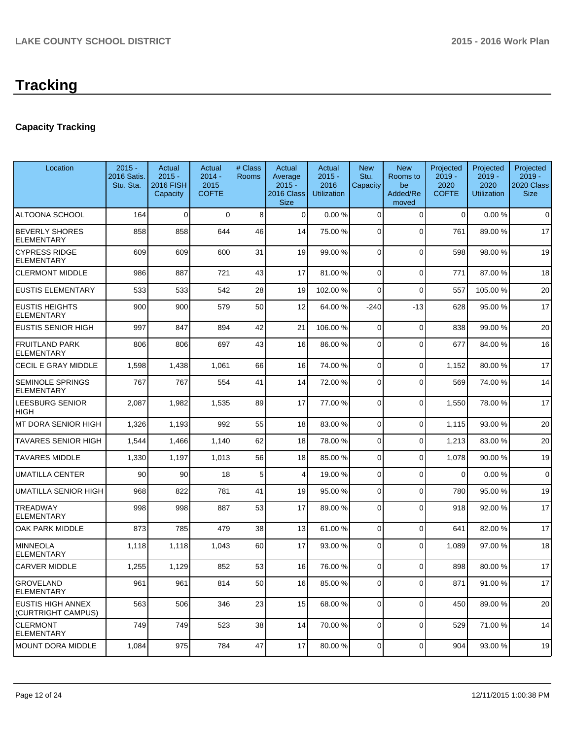# **Capacity Tracking**

| Location                                       | $2015 -$<br>2016 Satis.<br>Stu. Sta. | Actual<br>$2015 -$<br>2016 FISH<br>Capacity | Actual<br>$2014 -$<br>2015<br><b>COFTE</b> | # Class<br>Rooms | Actual<br>Average<br>$2015 -$<br>2016 Class<br><b>Size</b> | Actual<br>$2015 -$<br>2016<br><b>Utilization</b> | <b>New</b><br>Stu.<br>Capacity | <b>New</b><br>Rooms to<br>be<br>Added/Re<br>moved | Projected<br>$2019 -$<br>2020<br><b>COFTE</b> | Projected<br>$2019 -$<br>2020<br><b>Utilization</b> | Projected<br>$2019 -$<br>2020 Class<br><b>Size</b> |
|------------------------------------------------|--------------------------------------|---------------------------------------------|--------------------------------------------|------------------|------------------------------------------------------------|--------------------------------------------------|--------------------------------|---------------------------------------------------|-----------------------------------------------|-----------------------------------------------------|----------------------------------------------------|
| ALTOONA SCHOOL                                 | 164                                  | $\Omega$                                    | $\Omega$                                   | 8                | $\Omega$                                                   | 0.00%                                            | 0                              | $\Omega$                                          | $\Omega$                                      | 0.00%                                               | $\mathbf 0$                                        |
| <b>BEVERLY SHORES</b><br><b>ELEMENTARY</b>     | 858                                  | 858                                         | 644                                        | 46               | 14                                                         | 75.00 %                                          | $\Omega$                       | $\Omega$                                          | 761                                           | 89.00%                                              | 17                                                 |
| <b>CYPRESS RIDGE</b><br><b>ELEMENTARY</b>      | 609                                  | 609                                         | 600                                        | 31               | 19                                                         | 99.00 %                                          | $\overline{0}$                 | $\Omega$                                          | 598                                           | 98.00 %                                             | 19                                                 |
| <b>CLERMONT MIDDLE</b>                         | 986                                  | 887                                         | 721                                        | 43               | 17                                                         | 81.00 %                                          | 0                              | $\Omega$                                          | 771                                           | 87.00%                                              | 18                                                 |
| <b>EUSTIS ELEMENTARY</b>                       | 533                                  | 533                                         | 542                                        | 28               | 19                                                         | 102.00 %                                         | 0                              | $\Omega$                                          | 557                                           | 105.00%                                             | 20                                                 |
| <b>EUSTIS HEIGHTS</b><br>ELEMENTARY            | 900                                  | 900                                         | 579                                        | 50               | 12                                                         | 64.00 %                                          | $-240$                         | $-13$                                             | 628                                           | 95.00 %                                             | 17                                                 |
| <b>EUSTIS SENIOR HIGH</b>                      | 997                                  | 847                                         | 894                                        | 42               | 21                                                         | 106.00 %                                         | 0                              | $\Omega$                                          | 838                                           | 99.00 %                                             | 20                                                 |
| <b>FRUITLAND PARK</b><br>ELEMENTARY            | 806                                  | 806                                         | 697                                        | 43               | 16                                                         | 86.00 %                                          | 0                              | $\Omega$                                          | 677                                           | 84.00 %                                             | 16                                                 |
| CECIL E GRAY MIDDLE                            | 1,598                                | 1,438                                       | 1,061                                      | 66               | 16                                                         | 74.00 %                                          | 0                              | $\Omega$                                          | 1,152                                         | 80.00%                                              | 17                                                 |
| <b>SEMINOLE SPRINGS</b><br><b>ELEMENTARY</b>   | 767                                  | 767                                         | 554                                        | 41               | 14                                                         | 72.00 %                                          | 0                              | $\Omega$                                          | 569                                           | 74.00 %                                             | 14                                                 |
| LEESBURG SENIOR<br>HIGH                        | 2,087                                | 1,982                                       | 1,535                                      | 89               | 17                                                         | 77.00 %                                          | 0                              | $\Omega$                                          | 1,550                                         | 78.00 %                                             | 17                                                 |
| MT DORA SENIOR HIGH                            | 1,326                                | 1,193                                       | 992                                        | 55               | 18                                                         | 83.00 %                                          | 0                              | $\Omega$                                          | 1,115                                         | 93.00 %                                             | 20                                                 |
| TAVARES SENIOR HIGH                            | 1,544                                | 1,466                                       | 1,140                                      | 62               | 18                                                         | 78.00 %                                          | 0                              | $\Omega$                                          | 1,213                                         | 83.00 %                                             | 20                                                 |
| <b>TAVARES MIDDLE</b>                          | 1,330                                | 1,197                                       | 1,013                                      | 56               | 18                                                         | 85.00 %                                          | 0                              | $\Omega$                                          | 1,078                                         | 90.00%                                              | 19                                                 |
| UMATILLA CENTER                                | 90                                   | 90                                          | 18                                         | 5                | 4                                                          | 19.00 %                                          | 0                              | $\Omega$                                          | $\Omega$                                      | 0.00%                                               | $\mathbf 0$                                        |
| UMATILLA SENIOR HIGH                           | 968                                  | 822                                         | 781                                        | 41               | 19                                                         | 95.00 %                                          | 0                              | $\Omega$                                          | 780                                           | 95.00 %                                             | 19                                                 |
| <b>TREADWAY</b><br><b>ELEMENTARY</b>           | 998                                  | 998                                         | 887                                        | 53               | 17                                                         | 89.00 %                                          | 0                              | $\Omega$                                          | 918                                           | 92.00%                                              | 17                                                 |
| OAK PARK MIDDLE                                | 873                                  | 785                                         | 479                                        | 38               | 13                                                         | 61.00%                                           | 0                              | $\Omega$                                          | 641                                           | 82.00 %                                             | 17                                                 |
| MINNEOLA<br><b>ELEMENTARY</b>                  | 1,118                                | 1,118                                       | 1,043                                      | 60               | 17                                                         | 93.00 %                                          | 0                              | $\Omega$                                          | 1,089                                         | 97.00 %                                             | 18                                                 |
| <b>CARVER MIDDLE</b>                           | 1,255                                | 1,129                                       | 852                                        | 53               | 16                                                         | 76.00 %                                          | 0                              | $\Omega$                                          | 898                                           | 80.00%                                              | 17                                                 |
| <b>GROVELAND</b><br><b>ELEMENTARY</b>          | 961                                  | 961                                         | 814                                        | 50               | 16                                                         | 85.00 %                                          | $\overline{0}$                 | $\overline{0}$                                    | 871                                           | 91.00%                                              | 17                                                 |
| <b>EUSTIS HIGH ANNEX</b><br>(CURTRIGHT CAMPUS) | 563                                  | 506                                         | 346                                        | 23               | 15                                                         | 68.00 %                                          | $\overline{0}$                 | $\Omega$                                          | 450                                           | 89.00 %                                             | 20                                                 |
| <b>CLERMONT</b><br><b>ELEMENTARY</b>           | 749                                  | 749                                         | 523                                        | 38               | 14                                                         | 70.00 %                                          | 0                              | $\Omega$                                          | 529                                           | 71.00%                                              | 14                                                 |
| MOUNT DORA MIDDLE                              | 1,084                                | 975                                         | 784                                        | 47               | 17                                                         | 80.00 %                                          | 0                              | $\mathbf 0$                                       | 904                                           | 93.00 %                                             | 19                                                 |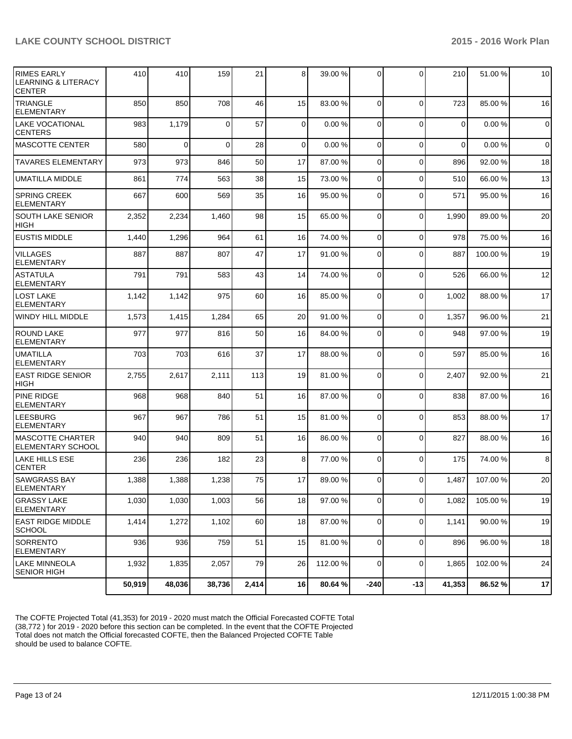| <b>RIMES EARLY</b><br><b>LEARNING &amp; LITERACY</b><br><b>CENTER</b> | 410    | 410         | 159      | 21    | 8 <sup>1</sup> | 39.00 %  | $\Omega$       | 0            | 210      | 51.00 % | 10             |
|-----------------------------------------------------------------------|--------|-------------|----------|-------|----------------|----------|----------------|--------------|----------|---------|----------------|
| <b>TRIANGLE</b><br><b>ELEMENTARY</b>                                  | 850    | 850         | 708      | 46    | 15             | 83.00 %  | $\Omega$       | $\Omega$     | 723      | 85.00 % | 16             |
| <b>LAKE VOCATIONAL</b><br><b>CENTERS</b>                              | 983    | 1,179       | $\Omega$ | 57    | $\Omega$       | 0.00%    | $\Omega$       | $\Omega$     | $\Omega$ | 0.00%   | $\overline{0}$ |
| <b>MASCOTTE CENTER</b>                                                | 580    | $\mathbf 0$ | $\Omega$ | 28    | $\overline{0}$ | 0.00%    | $\overline{0}$ | $\mathbf 0$  | $\Omega$ | 0.00%   | $\overline{0}$ |
| <b>TAVARES ELEMENTARY</b>                                             | 973    | 973         | 846      | 50    | 17             | 87.00 %  | $\overline{0}$ | $\mathbf 0$  | 896      | 92.00 % | 18             |
| <b>UMATILLA MIDDLE</b>                                                | 861    | 774         | 563      | 38    | 15             | 73.00 %  | $\overline{0}$ | $\mathbf 0$  | 510      | 66.00 % | 13             |
| <b>SPRING CREEK</b><br><b>ELEMENTARY</b>                              | 667    | 600         | 569      | 35    | 16             | 95.00 %  | $\overline{0}$ | $\mathbf 0$  | 571      | 95.00 % | 16             |
| <b>SOUTH LAKE SENIOR</b><br><b>HIGH</b>                               | 2,352  | 2,234       | 1,460    | 98    | 15             | 65.00 %  | $\overline{0}$ | 0            | 1,990    | 89.00 % | 20             |
| <b>EUSTIS MIDDLE</b>                                                  | 1,440  | 1,296       | 964      | 61    | 16             | 74.00 %  | $\Omega$       | $\mathbf 0$  | 978      | 75.00 % | 16             |
| <b>VILLAGES</b><br><b>ELEMENTARY</b>                                  | 887    | 887         | 807      | 47    | 17             | 91.00 %  | $\Omega$       | $\mathbf{0}$ | 887      | 100.00% | 19             |
| <b>ASTATULA</b><br><b>ELEMENTARY</b>                                  | 791    | 791         | 583      | 43    | 14             | 74.00 %  | $\Omega$       | $\mathbf 0$  | 526      | 66.00 % | 12             |
| <b>LOST LAKE</b><br><b>ELEMENTARY</b>                                 | 1,142  | 1,142       | 975      | 60    | 16             | 85.00 %  | $\overline{0}$ | $\mathbf 0$  | 1,002    | 88.00 % | 17             |
| WINDY HILL MIDDLE                                                     | 1,573  | 1,415       | 1,284    | 65    | 20             | 91.00 %  | 0              | 0            | 1,357    | 96.00 % | 21             |
| <b>ROUND LAKE</b><br><b>ELEMENTARY</b>                                | 977    | 977         | 816      | 50    | 16             | 84.00 %  | 0              | 0            | 948      | 97.00%  | 19             |
| <b>UMATILLA</b><br><b>ELEMENTARY</b>                                  | 703    | 703         | 616      | 37    | 17             | 88.00 %  | $\Omega$       | 0            | 597      | 85.00 % | 16             |
| <b>EAST RIDGE SENIOR</b><br><b>HIGH</b>                               | 2,755  | 2,617       | 2,111    | 113   | 19             | 81.00 %  | $\overline{0}$ | $\mathbf 0$  | 2,407    | 92.00 % | 21             |
| PINE RIDGE<br><b>ELEMENTARY</b>                                       | 968    | 968         | 840      | 51    | 16             | 87.00 %  | $\overline{0}$ | 0            | 838      | 87.00 % | 16             |
| LEESBURG<br><b>ELEMENTARY</b>                                         | 967    | 967         | 786      | 51    | 15             | 81.00 %  | $\mathbf 0$    | 0            | 853      | 88.00 % | 17             |
| <b>MASCOTTE CHARTER</b><br><b>ELEMENTARY SCHOOL</b>                   | 940    | 940         | 809      | 51    | 16             | 86.00 %  | $\Omega$       | $\mathbf 0$  | 827      | 88.00 % | 16             |
| LAKE HILLS ESE<br><b>CENTER</b>                                       | 236    | 236         | 182      | 23    | 8 <sup>1</sup> | 77.00 %  | $\Omega$       | 0            | 175      | 74.00 % | 8              |
| <b>SAWGRASS BAY</b><br>ELEMENTARY                                     | 1,388  | 1,388       | 1,238    | 75    | 17             | 89.00 %  | $\overline{0}$ | $\mathbf 0$  | 1,487    | 107.00% | 20             |
| <b>GRASSY LAKE</b><br><b>ELEMENTARY</b>                               | 1,030  | 1,030       | 1,003    | 56    | 18             | 97.00 %  | 0              | 0            | 1,082    | 105.00% | 19             |
| <b>EAST RIDGE MIDDLE</b><br>SCHOOL                                    | 1,414  | 1,272       | 1,102    | 60    | 18             | 87.00 %  | $\overline{0}$ | $\mathbf 0$  | 1,141    | 90.00 % | 19             |
| <b>SORRENTO</b><br>ELEMENTARY                                         | 936    | 936         | 759      | 51    | 15             | 81.00 %  | $\overline{0}$ | $\mathbf 0$  | 896      | 96.00 % | 18             |
| <b>LAKE MINNEOLA</b><br><b>SENIOR HIGH</b>                            | 1,932  | 1,835       | 2,057    | 79    | 26             | 112.00 % | $\overline{0}$ | $\mathbf 0$  | 1,865    | 102.00% | 24             |
|                                                                       | 50,919 | 48,036      | 38,736   | 2,414 | 16             | 80.64 %  | $-240$         | $-13$        | 41,353   | 86.52%  | 17             |

The COFTE Projected Total (41,353) for 2019 - 2020 must match the Official Forecasted COFTE Total (38,772 ) for 2019 - 2020 before this section can be completed. In the event that the COFTE Projected Total does not match the Official forecasted COFTE, then the Balanced Projected COFTE Table should be used to balance COFTE.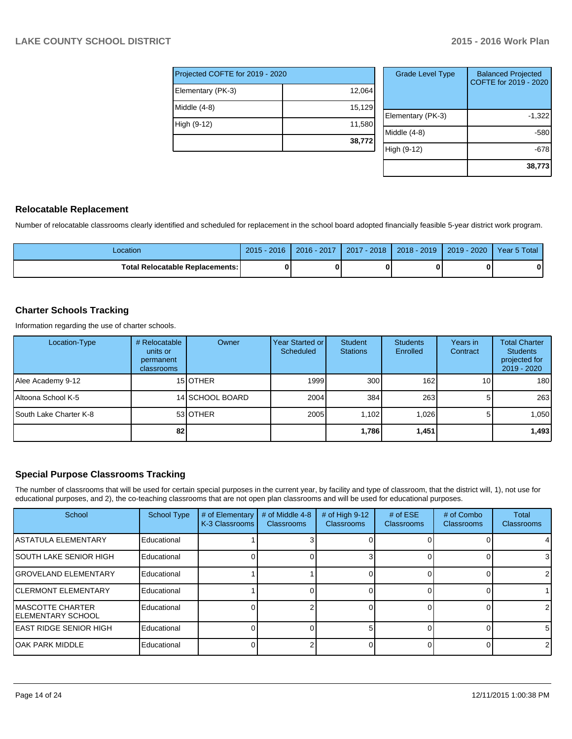| Projected COFTE for 2019 - 2020 |        |  |  |  |  |
|---------------------------------|--------|--|--|--|--|
| Elementary (PK-3)               | 12,064 |  |  |  |  |
| Middle (4-8)                    | 15,129 |  |  |  |  |
| High (9-12)                     | 11,580 |  |  |  |  |
|                                 | 38,772 |  |  |  |  |

| <b>Grade Level Type</b> | <b>Balanced Projected</b><br>COFTE for 2019 - 2020 |
|-------------------------|----------------------------------------------------|
| Elementary (PK-3)       | $-1,322$                                           |
| Middle (4-8)            | -580                                               |
| High (9-12)             | -678                                               |
|                         | 38,773                                             |

# **Relocatable Replacement**

Number of relocatable classrooms clearly identified and scheduled for replacement in the school board adopted financially feasible 5-year district work program.

| ∟ocation                               | 2016<br>$2015 -$ | 2016 - 2017 | $-2018$<br>2017 | 2018 - 2019 | 2020<br>$2019 -$ | Year 5 Total |
|----------------------------------------|------------------|-------------|-----------------|-------------|------------------|--------------|
| <b>Total Relocatable Replacements:</b> |                  |             |                 |             |                  |              |

# **Charter Schools Tracking**

Information regarding the use of charter schools.

| Location-Type                 | # Relocatable<br>units or<br>permanent<br>classrooms | Owner            | Year Started or<br>Scheduled | Student<br><b>Stations</b> | <b>Students</b><br>Enrolled | Years in<br>Contract | <b>Total Charter</b><br><b>Students</b><br>projected for<br>$2019 - 2020$ |
|-------------------------------|------------------------------------------------------|------------------|------------------------------|----------------------------|-----------------------------|----------------------|---------------------------------------------------------------------------|
| Alee Academy 9-12             |                                                      | 15 <b>JOTHER</b> | 1999                         | 300 <sub>1</sub>           | 162                         | 10                   | 180 l                                                                     |
| I Altoona School K-5          |                                                      | 14 SCHOOL BOARD  | 2004                         | 384                        | 263                         |                      | 263                                                                       |
| <b>South Lake Charter K-8</b> |                                                      | 53 OTHER         | 2005                         | 1.102                      | 1,026                       |                      | 1,050                                                                     |
|                               | 82                                                   |                  |                              | 1,786                      | 1,451                       |                      | 1,493                                                                     |

# **Special Purpose Classrooms Tracking**

The number of classrooms that will be used for certain special purposes in the current year, by facility and type of classroom, that the district will, 1), not use for educational purposes, and 2), the co-teaching classrooms that are not open plan classrooms and will be used for educational purposes.

| School                                                | <b>School Type</b> | # of Elementary<br>K-3 Classrooms | # of Middle 4-8<br><b>Classrooms</b> | # of High 9-12<br>Classrooms | # of $ESE$<br><b>Classrooms</b> | # of Combo<br><b>Classrooms</b> | Total<br>Classrooms |
|-------------------------------------------------------|--------------------|-----------------------------------|--------------------------------------|------------------------------|---------------------------------|---------------------------------|---------------------|
| IASTATULA ELEMENTARY                                  | Educational        |                                   |                                      |                              |                                 |                                 |                     |
| <b>ISOUTH LAKE SENIOR HIGH</b>                        | Educational        |                                   |                                      |                              |                                 |                                 | 3                   |
| IGROVELAND ELEMENTARY                                 | Educational        |                                   |                                      |                              |                                 |                                 | $\overline{2}$      |
| <b>ICLERMONT ELEMENTARY</b>                           | Educational        |                                   |                                      |                              |                                 |                                 |                     |
| <b>IMASCOTTE CHARTER</b><br><b>IELEMENTARY SCHOOL</b> | Educational        |                                   |                                      |                              |                                 |                                 | $\overline{2}$      |
| <b>IEAST RIDGE SENIOR HIGH</b>                        | Educational        |                                   |                                      |                              |                                 |                                 | 51                  |
| IOAK PARK MIDDLE                                      | Educational        |                                   |                                      |                              |                                 |                                 | $\overline{2}$      |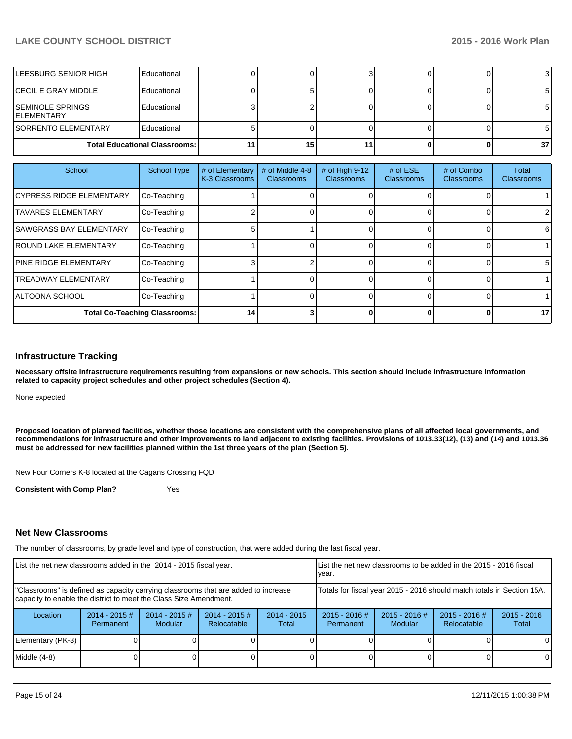| <b>ILEESBURG SENIOR HIGH</b>                   | Educational                          |    |  |                 |
|------------------------------------------------|--------------------------------------|----|--|-----------------|
| <b>ICECIL E GRAY MIDDLE</b>                    | Educational                          |    |  |                 |
| <b>ISEMINOLE SPRINGS</b><br><b>IELEMENTARY</b> | Educational                          |    |  |                 |
| <b>ISORRENTO ELEMENTARY</b>                    | Educational                          |    |  |                 |
|                                                | <b>Total Educational Classrooms:</b> | 15 |  | 37 <sub>l</sub> |

| School                               | <b>School Type</b> | # of Elementary<br>K-3 Classrooms | # of Middle 4-8<br><b>Classrooms</b> | # of High 9-12<br>Classrooms | # of $ESE$<br><b>Classrooms</b> | # of Combo<br><b>Classrooms</b> | <b>Total</b><br><b>Classrooms</b> |
|--------------------------------------|--------------------|-----------------------------------|--------------------------------------|------------------------------|---------------------------------|---------------------------------|-----------------------------------|
| <b>ICYPRESS RIDGE ELEMENTARY</b>     | Co-Teaching        |                                   |                                      |                              |                                 |                                 |                                   |
| <b>TAVARES ELEMENTARY</b>            | Co-Teaching        |                                   |                                      |                              |                                 |                                 |                                   |
| <b>SAWGRASS BAY ELEMENTARY</b>       | Co-Teaching        |                                   |                                      |                              |                                 |                                 | 61                                |
| <b>IROUND LAKE ELEMENTARY</b>        | Co-Teaching        |                                   |                                      |                              |                                 |                                 |                                   |
| <b>IPINE RIDGE ELEMENTARY</b>        | Co-Teaching        |                                   |                                      |                              |                                 |                                 | 51                                |
| <b>TREADWAY ELEMENTARY</b>           | Co-Teaching        |                                   |                                      |                              |                                 |                                 |                                   |
| IALTOONA SCHOOL                      | Co-Teaching        |                                   |                                      |                              |                                 |                                 |                                   |
| <b>Total Co-Teaching Classrooms:</b> |                    | 14                                |                                      |                              | 0                               |                                 | 17 <sup>1</sup>                   |

#### **Infrastructure Tracking**

**Necessary offsite infrastructure requirements resulting from expansions or new schools. This section should include infrastructure information related to capacity project schedules and other project schedules (Section 4).**

None expected

**Proposed location of planned facilities, whether those locations are consistent with the comprehensive plans of all affected local governments, and recommendations for infrastructure and other improvements to land adjacent to existing facilities. Provisions of 1013.33(12), (13) and (14) and 1013.36 must be addressed for new facilities planned within the 1st three years of the plan (Section 5).**

New Four Corners K-8 located at the Cagans Crossing FQD

**Consistent with Comp Plan?** Yes

#### **Net New Classrooms**

The number of classrooms, by grade level and type of construction, that were added during the last fiscal year.

| List the net new classrooms added in the 2014 - 2015 fiscal year.                                                                                       |                               |                                   |                                 |                                                                        | Llist the net new classrooms to be added in the 2015 - 2016 fiscal<br>Ivear.                        |  |  |                        |
|---------------------------------------------------------------------------------------------------------------------------------------------------------|-------------------------------|-----------------------------------|---------------------------------|------------------------------------------------------------------------|-----------------------------------------------------------------------------------------------------|--|--|------------------------|
| "Classrooms" is defined as capacity carrying classrooms that are added to increase<br>capacity to enable the district to meet the Class Size Amendment. |                               |                                   |                                 | Totals for fiscal year 2015 - 2016 should match totals in Section 15A. |                                                                                                     |  |  |                        |
| Location                                                                                                                                                | $2014 - 2015 \#$<br>Permanent | $2014 - 2015$ #<br><b>Modular</b> | $2014 - 2015 \#$<br>Relocatable | $2014 - 2015$<br>Total                                                 | $2015 - 2016$ #<br>$2015 - 2016$ #<br>$2015 - 2016$ #<br><b>Relocatable</b><br>Modular<br>Permanent |  |  | $2015 - 2016$<br>Total |
| Elementary (PK-3)                                                                                                                                       |                               |                                   |                                 |                                                                        |                                                                                                     |  |  | $\Omega$               |
| Middle $(4-8)$                                                                                                                                          |                               |                                   |                                 |                                                                        |                                                                                                     |  |  |                        |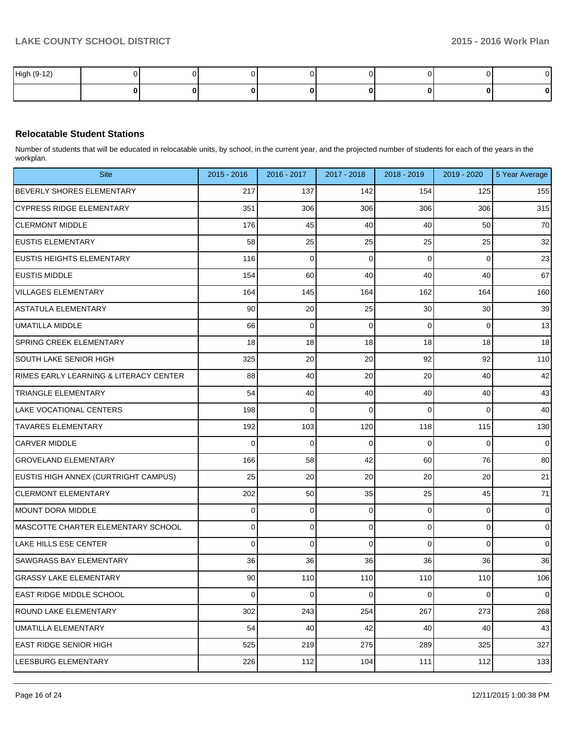| High (9-12) |  |  |  |  |
|-------------|--|--|--|--|
|             |  |  |  |  |

### **Relocatable Student Stations**

Number of students that will be educated in relocatable units, by school, in the current year, and the projected number of students for each of the years in the workplan.

| <b>Site</b>                            | 2015 - 2016     | 2016 - 2017 | 2017 - 2018 | 2018 - 2019    | 2019 - 2020 | 5 Year Average |
|----------------------------------------|-----------------|-------------|-------------|----------------|-------------|----------------|
| BEVERLY SHORES ELEMENTARY              | 217             | 137         | 142         | 154            | 125         | 155            |
| CYPRESS RIDGE ELEMENTARY               | 351             | 306         | 306         | 306            | 306         | 315            |
| <b>CLERMONT MIDDLE</b>                 | 176             | 45          | 40          | 40             | 50          | 70             |
| <b>EUSTIS ELEMENTARY</b>               | 58              | 25          | 25          | 25             | 25          | 32             |
| <b>EUSTIS HEIGHTS ELEMENTARY</b>       | 116             | 0           | 0           | 0              | 0           | 23             |
| <b>EUSTIS MIDDLE</b>                   | 154             | 60          | 40          | 40             | 40          | 67             |
| <b>VILLAGES ELEMENTARY</b>             | 164             | 145         | 164         | 162            | 164         | 160            |
| ASTATULA ELEMENTARY                    | 90              | 20          | 25          | 30             | 30          | 39             |
| <b>UMATILLA MIDDLE</b>                 | 66              | 0           | 0           | 0              | 0           | 13             |
| <b>SPRING CREEK ELEMENTARY</b>         | 18              | 18          | 18          | 18             | 18          | 18             |
| SOUTH LAKE SENIOR HIGH                 | 325             | 20          | 20          | 92             | 92          | 110            |
| RIMES EARLY LEARNING & LITERACY CENTER | 88              | 40          | 20          | 20             | 40          | 42             |
| TRIANGLE ELEMENTARY                    | 54              | 40          | 40          | 40             | 40          | 43             |
| LAKE VOCATIONAL CENTERS                | 198             | 0           | 0           | 0              | 0           | 40             |
| <b>TAVARES ELEMENTARY</b>              | 192             | 103         | 120         | 118            | 115         | 130            |
| <b>CARVER MIDDLE</b>                   | 0               | 0           | 0           | 0              | 0           | 0              |
| <b>GROVELAND ELEMENTARY</b>            | 166             | 58          | 42          | 60             | 76          | 80             |
| EUSTIS HIGH ANNEX (CURTRIGHT CAMPUS)   | 25              | 20          | 20          | 20             | 20          | 21             |
| <b>CLERMONT ELEMENTARY</b>             | 202             | 50          | 35          | 25             | 45          | 71             |
| MOUNT DORA MIDDLE                      | 0               | 0           | 0           | 0              | 0           | $\overline{0}$ |
| MASCOTTE CHARTER ELEMENTARY SCHOOL     | 0               | 0           | 0           | $\overline{0}$ | 0           | $\overline{0}$ |
| LAKE HILLS ESE CENTER                  | 0               | 0           | 0           | 0              | 0           | 0              |
| SAWGRASS BAY ELEMENTARY                | 36              | 36          | 36          | 36             | 36          | 36             |
| <b>GRASSY LAKE ELEMENTARY</b>          | 90              | 110         | 110         | 110            | 110         | 106            |
| <b>EAST RIDGE MIDDLE SCHOOL</b>        | $\vert 0 \vert$ | $\pmb{0}$   | 0           | $\overline{0}$ | 0           | $\mathbf 0$    |
| ROUND LAKE ELEMENTARY                  | 302             | 243         | 254         | 267            | 273         | 268            |
| UMATILLA ELEMENTARY                    | 54              | 40          | 42          | 40             | 40          | 43             |
| <b>EAST RIDGE SENIOR HIGH</b>          | 525             | 219         | 275         | 289            | 325         | 327            |
| LEESBURG ELEMENTARY                    | 226             | $112$       | 104         | 111            | 112         | 133            |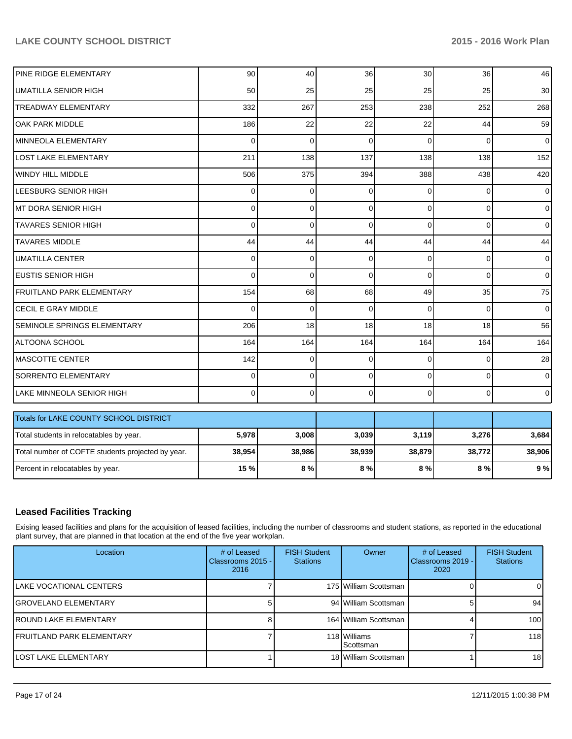| PINE RIDGE ELEMENTARY                             | 90       | 40 <sup>1</sup> | 36          | 30           | 36       | 46             |
|---------------------------------------------------|----------|-----------------|-------------|--------------|----------|----------------|
| <b>UMATILLA SENIOR HIGH</b>                       | 50       | 25              | 25          | 25           | 25       | 30             |
| <b>TREADWAY ELEMENTARY</b>                        | 332      | 267             | 253         | 238          | 252      | 268            |
| OAK PARK MIDDLE                                   | 186      | 22              | 22          | 22           | 44       | 59             |
| <b>MINNEOLA ELEMENTARY</b>                        | 0        | 0               | $\mathbf 0$ | $\mathbf{0}$ | $\Omega$ | $\overline{0}$ |
| <b>LOST LAKE ELEMENTARY</b>                       | 211      | 138             | 137         | 138          | 138      | 152            |
| <b>WINDY HILL MIDDLE</b>                          | 506      | 375             | 394         | 388          | 438      | 420            |
| LEESBURG SENIOR HIGH                              | 0        | $\mathbf{0}$    | $\Omega$    | $\Omega$     | $\Omega$ | $\overline{0}$ |
| IMT DORA SENIOR HIGH                              | $\Omega$ | 0               | $\Omega$    | $\Omega$     | $\Omega$ | $\overline{0}$ |
| <b>TAVARES SENIOR HIGH</b>                        | 0        | $\Omega$        | $\Omega$    | $\Omega$     | $\Omega$ | $\mathbf 0$    |
| <b>TAVARES MIDDLE</b>                             | 44       | 44              | 44          | 44           | 44       | 44             |
| <b>UMATILLA CENTER</b>                            | 0        | 0               | $\Omega$    | $\Omega$     | $\Omega$ | $\mathbf 0$    |
| <b>EUSTIS SENIOR HIGH</b>                         | $\Omega$ | 0               | $\mathbf 0$ | $\Omega$     | $\Omega$ | $\mathbf 0$    |
| <b>FRUITLAND PARK ELEMENTARY</b>                  | 154      | 68              | 68          | 49           | 35       | 75             |
| CECIL E GRAY MIDDLE                               | $\Omega$ | 0               | $\Omega$    | $\Omega$     | $\Omega$ | $\overline{0}$ |
| SEMINOLE SPRINGS ELEMENTARY                       | 206      | 18              | 18          | 18           | 18       | 56             |
| ALTOONA SCHOOL                                    | 164      | 164             | 164         | 164          | 164      | 164            |
| <b>MASCOTTE CENTER</b>                            | 142      | 0               | $\Omega$    | $\Omega$     | 0        | 28             |
| <b>SORRENTO ELEMENTARY</b>                        | 0        | 0               | $\Omega$    | $\Omega$     | $\Omega$ | $\mathbf 0$    |
| LAKE MINNEOLA SENIOR HIGH                         | 0        | 0               | $\mathbf 0$ | $\Omega$     | 0        | $\overline{0}$ |
| Totals for LAKE COUNTY SCHOOL DISTRICT            |          |                 |             |              |          |                |
| Total students in relocatables by year.           | 5,978    | 3,008           | 3,039       | 3,119        | 3,276    | 3,684          |
| Total number of COFTE students projected by year. | 38,954   | 38,986          | 38,939      | 38,879       | 38,772   | 38,906         |
| Percent in relocatables by year.                  | 15 %     | 8%              | 8%          | 8%           | 8%       | 9%             |

# **Leased Facilities Tracking**

Exising leased facilities and plans for the acquisition of leased facilities, including the number of classrooms and student stations, as reported in the educational plant survey, that are planned in that location at the end of the five year workplan.

| Location                          | # of Leased<br>Classrooms 2015 -<br>2016 | <b>FISH Student</b><br><b>Stations</b> | Owner                     | # of Leased<br>Classrooms 2019 -<br>2020 | <b>FISH Student</b><br><b>Stations</b> |
|-----------------------------------|------------------------------------------|----------------------------------------|---------------------------|------------------------------------------|----------------------------------------|
| ILAKE VOCATIONAL CENTERS          |                                          |                                        | 175 William Scottsman     |                                          |                                        |
| <b>IGROVELAND ELEMENTARY</b>      |                                          |                                        | 94 William Scottsman      |                                          | 94                                     |
| <b>IROUND LAKE ELEMENTARY</b>     |                                          |                                        | 164 William Scottsman     |                                          | 100                                    |
| <b>IFRUITLAND PARK ELEMENTARY</b> |                                          |                                        | 118 Williams<br>Scottsman |                                          | 118                                    |
| <b>ILOST LAKE ELEMENTARY</b>      |                                          |                                        | 18 William Scottsman      |                                          | 18 <sup>l</sup>                        |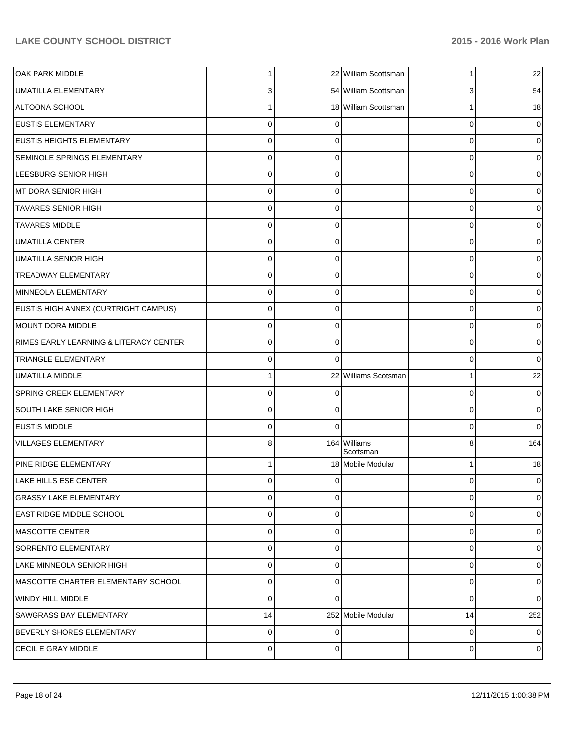| OAK PARK MIDDLE                        |             |          | 22 William Scottsman      | 1        | 22             |
|----------------------------------------|-------------|----------|---------------------------|----------|----------------|
| <b>UMATILLA ELEMENTARY</b>             |             |          | 54 William Scottsman      | 3        | 54             |
| ALTOONA SCHOOL                         |             |          | 18 William Scottsman      |          | 18             |
| <b>EUSTIS ELEMENTARY</b>               | 0           |          |                           | 0        | $\overline{0}$ |
| <b>EUSTIS HEIGHTS ELEMENTARY</b>       | 0           |          |                           | 0        | 0              |
| <b>SEMINOLE SPRINGS ELEMENTARY</b>     | 0           | 0        |                           | 0        | 01             |
| LEESBURG SENIOR HIGH                   | 0           | C        |                           | 0        | 0              |
| MT DORA SENIOR HIGH                    | 0           | $\Omega$ |                           | 0        | 0              |
| <b>TAVARES SENIOR HIGH</b>             | 0           | ∩        |                           | 0        | 0              |
| <b>TAVARES MIDDLE</b>                  | $\Omega$    | $\Omega$ |                           | 0        | 0              |
| <b>UMATILLA CENTER</b>                 | 0           | C        |                           | 0        | 0              |
| <b>UMATILLA SENIOR HIGH</b>            | 0           | $\Omega$ |                           | 0        | 0              |
| <b>TREADWAY ELEMENTARY</b>             | 0           | ∩        |                           | 0        | 0              |
| MINNEOLA ELEMENTARY                    | $\Omega$    | $\Omega$ |                           | 0        | 0              |
| EUSTIS HIGH ANNEX (CURTRIGHT CAMPUS)   | 0           | ∩        |                           | 0        | 0              |
| <b>MOUNT DORA MIDDLE</b>               | $\Omega$    | $\Omega$ |                           | 0        | 0              |
| RIMES EARLY LEARNING & LITERACY CENTER | 0           | $\Omega$ |                           | 0        | 0              |
| <b>TRIANGLE ELEMENTARY</b>             | 0           | $\Omega$ |                           | 0        | $\overline{0}$ |
| <b>UMATILLA MIDDLE</b>                 |             |          | 22 Williams Scotsman      |          | 22             |
| <b>SPRING CREEK ELEMENTARY</b>         | $\Omega$    |          |                           | 0        | 0              |
| <b>SOUTH LAKE SENIOR HIGH</b>          | 0           | ∩        |                           | 0        | $\overline{0}$ |
| <b>EUSTIS MIDDLE</b>                   | 0           | $\Omega$ |                           | 0        | $\overline{0}$ |
| <b>VILLAGES ELEMENTARY</b>             | 8           |          | 164 Williams<br>Scottsman | 8        | 164            |
| PINE RIDGE ELEMENTARY                  |             |          | 18 Mobile Modular         |          | 18             |
| LAKE HILLS ESE CENTER                  | 0           | $\Omega$ |                           | 0        | $\overline{0}$ |
| <b>GRASSY LAKE ELEMENTARY</b>          | $\Omega$    | $\Omega$ |                           | $\Omega$ | $\overline{0}$ |
| <b>EAST RIDGE MIDDLE SCHOOL</b>        | 0           | $\Omega$ |                           | 0        | $\overline{0}$ |
| MASCOTTE CENTER                        | $\mathbf 0$ | $\Omega$ |                           | 0        | $\overline{0}$ |
| <b>SORRENTO ELEMENTARY</b>             | $\Omega$    | $\Omega$ |                           | 0        | $\overline{0}$ |
| LAKE MINNEOLA SENIOR HIGH              | $\Omega$    | $\Omega$ |                           | 0        | $\overline{0}$ |
| MASCOTTE CHARTER ELEMENTARY SCHOOL     | 0           | $\Omega$ |                           | 0        | $\overline{0}$ |
| WINDY HILL MIDDLE                      | $\Omega$    | $\Omega$ |                           | 0        | $\overline{0}$ |
| <b>SAWGRASS BAY ELEMENTARY</b>         | 14          |          | 252 Mobile Modular        | 14       | 252            |
| BEVERLY SHORES ELEMENTARY              | $\mathbf 0$ | $\Omega$ |                           | 0        | $\overline{0}$ |
| <b>CECIL E GRAY MIDDLE</b>             | 0           | 0        |                           | 0        | $\overline{0}$ |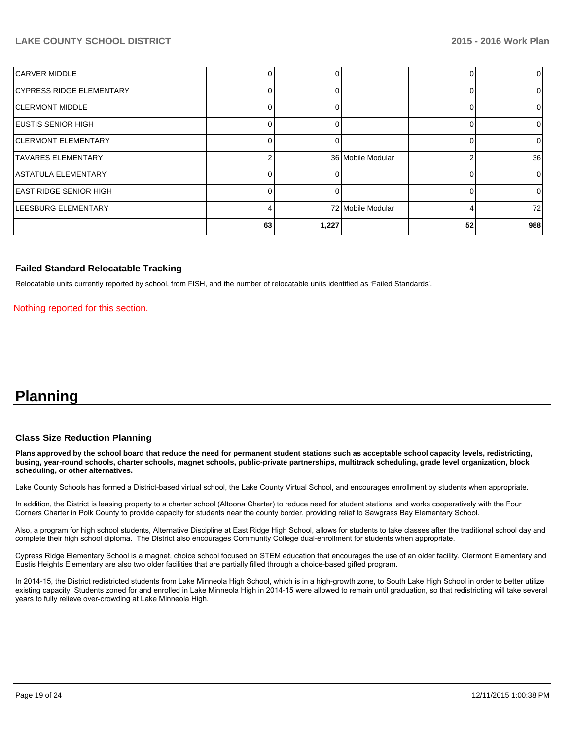| <b>ICARVER MIDDLE</b>           |    |       |                   |    | 0              |
|---------------------------------|----|-------|-------------------|----|----------------|
| <b>CYPRESS RIDGE ELEMENTARY</b> |    |       |                   |    | 0              |
| ICLERMONT MIDDLE                |    |       |                   |    | 01             |
| IEUSTIS SENIOR HIGH             |    |       |                   |    | $\overline{0}$ |
| <b>ICLERMONT ELEMENTARY</b>     |    |       |                   |    | 0              |
| <b>TAVARES ELEMENTARY</b>       |    |       | 36 Mobile Modular |    | 36             |
| ASTATULA ELEMENTARY             |    |       |                   |    | $\overline{0}$ |
| <b>EAST RIDGE SENIOR HIGH</b>   |    |       |                   |    | $\overline{0}$ |
| <b>LEESBURG ELEMENTARY</b>      |    |       | 72 Mobile Modular |    | 72             |
|                                 | 63 | 1,227 |                   | 52 | 988            |

#### **Failed Standard Relocatable Tracking**

Relocatable units currently reported by school, from FISH, and the number of relocatable units identified as 'Failed Standards'.

Nothing reported for this section.

# **Planning**

#### **Class Size Reduction Planning**

**Plans approved by the school board that reduce the need for permanent student stations such as acceptable school capacity levels, redistricting, busing, year-round schools, charter schools, magnet schools, public-private partnerships, multitrack scheduling, grade level organization, block scheduling, or other alternatives.**

Lake County Schools has formed a District-based virtual school, the Lake County Virtual School, and encourages enrollment by students when appropriate.

In addition, the District is leasing property to a charter school (Altoona Charter) to reduce need for student stations, and works cooperatively with the Four Corners Charter in Polk County to provide capacity for students near the county border, providing relief to Sawgrass Bay Elementary School.

Also, a program for high school students, Alternative Discipline at East Ridge High School, allows for students to take classes after the traditional school day and complete their high school diploma. The District also encourages Community College dual-enrollment for students when appropriate.

Cypress Ridge Elementary School is a magnet, choice school focused on STEM education that encourages the use of an older facility. Clermont Elementary and Eustis Heights Elementary are also two older facilities that are partially filled through a choice-based gifted program.

In 2014-15, the District redistricted students from Lake Minneola High School, which is in a high-growth zone, to South Lake High School in order to better utilize existing capacity. Students zoned for and enrolled in Lake Minneola High in 2014-15 were allowed to remain until graduation, so that redistricting will take several years to fully relieve over-crowding at Lake Minneola High.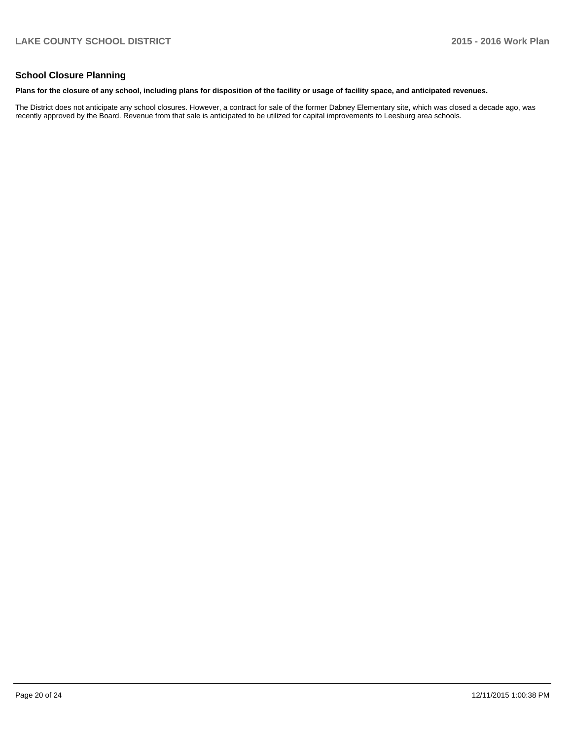### **School Closure Planning**

#### **Plans for the closure of any school, including plans for disposition of the facility or usage of facility space, and anticipated revenues.**

The District does not anticipate any school closures. However, a contract for sale of the former Dabney Elementary site, which was closed a decade ago, was recently approved by the Board. Revenue from that sale is anticipated to be utilized for capital improvements to Leesburg area schools.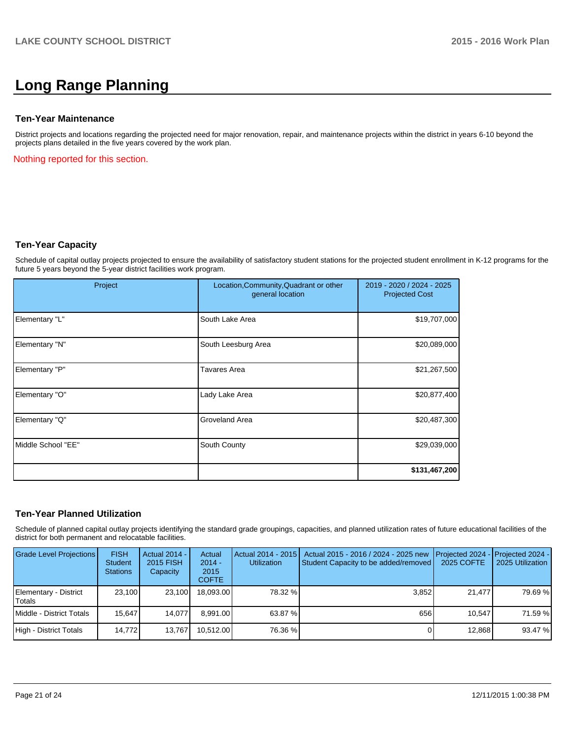# **Long Range Planning**

#### **Ten-Year Maintenance**

District projects and locations regarding the projected need for major renovation, repair, and maintenance projects within the district in years 6-10 beyond the projects plans detailed in the five years covered by the work plan.

Nothing reported for this section.

### **Ten-Year Capacity**

Schedule of capital outlay projects projected to ensure the availability of satisfactory student stations for the projected student enrollment in K-12 programs for the future 5 years beyond the 5-year district facilities work program.

| Project            | Location, Community, Quadrant or other<br>general location | 2019 - 2020 / 2024 - 2025<br><b>Projected Cost</b> |
|--------------------|------------------------------------------------------------|----------------------------------------------------|
| Elementary "L"     | South Lake Area                                            | \$19,707,000                                       |
| Elementary "N"     | South Leesburg Area                                        | \$20,089,000                                       |
| Elementary "P"     | <b>Tavares Area</b>                                        | \$21,267,500                                       |
| Elementary "O"     | Lady Lake Area                                             | \$20,877,400                                       |
| Elementary "Q"     | Groveland Area                                             | \$20,487,300                                       |
| Middle School "EE" | South County                                               | \$29,039,000                                       |
|                    |                                                            | \$131,467,200                                      |

#### **Ten-Year Planned Utilization**

Schedule of planned capital outlay projects identifying the standard grade groupings, capacities, and planned utilization rates of future educational facilities of the district for both permanent and relocatable facilities.

| <b>Grade Level Projections</b>  | <b>FISH</b><br><b>Student</b><br><b>Stations</b> | Actual 2014 -<br>2015 FISH<br>Capacity | Actual<br>$2014 -$<br>2015<br><b>COFTE</b> | <b>Utilization</b> | Actual 2014 - 2015   Actual 2015 - 2016 / 2024 - 2025 new<br>Student Capacity to be added/removed | Projected 2024 - Projected 2024 -<br>2025 COFTE | 2025 Utilization |
|---------------------------------|--------------------------------------------------|----------------------------------------|--------------------------------------------|--------------------|---------------------------------------------------------------------------------------------------|-------------------------------------------------|------------------|
| Elementary - District<br>Totals | 23.100                                           | 23.100                                 | 18.093.00                                  | 78.32 %            | 3.852                                                                                             | 21.477                                          | 79.69 %          |
| Middle - District Totals        | 15.647                                           | 14.077                                 | 8.991.00                                   | 63.87 %            | 656                                                                                               | 10.547                                          | 71.59 %          |
| High - District Totals          | 14.772                                           | 13.767                                 | 10.512.00                                  | 76.36 %            |                                                                                                   | 12,868                                          | 93.47 %          |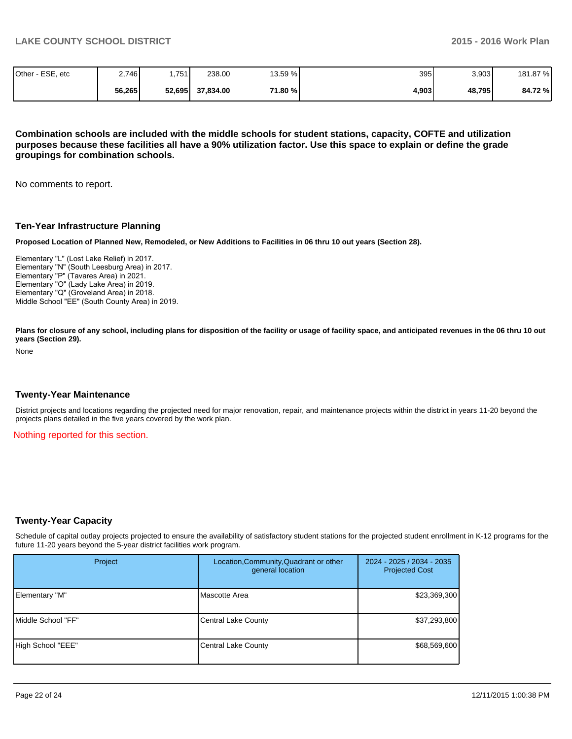| Other - ESE, etc | 2.746  | .751   | 238.00    | 13.59 % | 395   | 3,903  | 181.87 % |
|------------------|--------|--------|-----------|---------|-------|--------|----------|
|                  | 56,265 | 52,695 | 37.834.00 | 71.80 % | 4,903 | 48,795 | 84.72%   |

**Combination schools are included with the middle schools for student stations, capacity, COFTE and utilization purposes because these facilities all have a 90% utilization factor. Use this space to explain or define the grade groupings for combination schools.**

No comments to report.

#### **Ten-Year Infrastructure Planning**

**Proposed Location of Planned New, Remodeled, or New Additions to Facilities in 06 thru 10 out years (Section 28).**

Elementary "L" (Lost Lake Relief) in 2017. Elementary "N" (South Leesburg Area) in 2017. Elementary "P" (Tavares Area) in 2021. Elementary "O" (Lady Lake Area) in 2019. Elementary "Q" (Groveland Area) in 2018. Middle School "EE" (South County Area) in 2019.

Plans for closure of any school, including plans for disposition of the facility or usage of facility space, and anticipated revenues in the 06 thru 10 out **years (Section 29).**

None

#### **Twenty-Year Maintenance**

District projects and locations regarding the projected need for major renovation, repair, and maintenance projects within the district in years 11-20 beyond the projects plans detailed in the five years covered by the work plan.

Nothing reported for this section.

#### **Twenty-Year Capacity**

Schedule of capital outlay projects projected to ensure the availability of satisfactory student stations for the projected student enrollment in K-12 programs for the future 11-20 years beyond the 5-year district facilities work program.

| Project            | Location, Community, Quadrant or other<br>general location | 2024 - 2025 / 2034 - 2035<br><b>Projected Cost</b> |  |
|--------------------|------------------------------------------------------------|----------------------------------------------------|--|
| Elementary "M"     | Mascotte Area                                              | \$23,369,300                                       |  |
| Middle School "FF" | <b>Central Lake County</b>                                 | \$37,293,800                                       |  |
| High School "EEE"  | <b>Central Lake County</b>                                 | \$68,569,600                                       |  |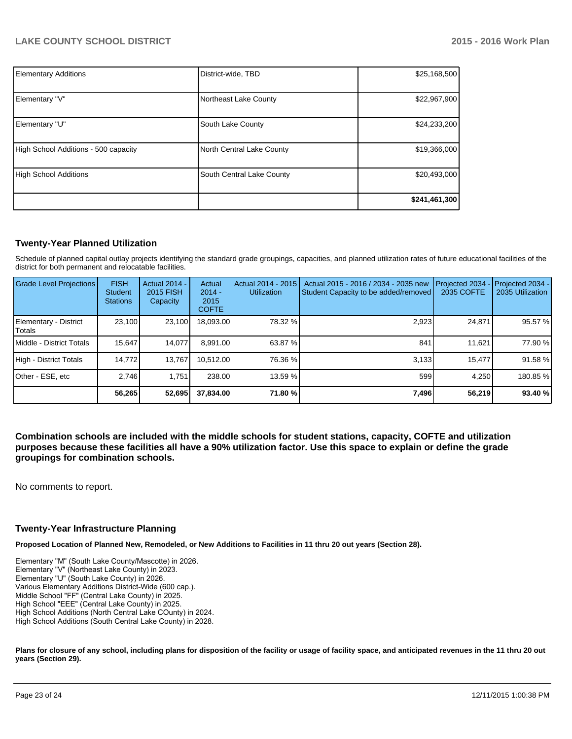| <b>Elementary Additions</b>          | District-wide, TBD        | \$25,168,500  |
|--------------------------------------|---------------------------|---------------|
| Elementary "V"                       | Northeast Lake County     | \$22,967,900  |
| Elementary "U"                       | South Lake County         | \$24,233,200  |
| High School Additions - 500 capacity | North Central Lake County | \$19,366,000  |
| High School Additions                | South Central Lake County | \$20,493,000  |
|                                      |                           | \$241,461,300 |

# **Twenty-Year Planned Utilization**

Schedule of planned capital outlay projects identifying the standard grade groupings, capacities, and planned utilization rates of future educational facilities of the district for both permanent and relocatable facilities.

| <b>Grade Level Projections</b>         | <b>FISH</b><br><b>Student</b><br><b>Stations</b> | <b>Actual 2014 -</b><br>2015 FISH<br>Capacity | Actual<br>$2014 -$<br>2015<br><b>COFTE</b> | Actual 2014 - 2015<br><b>Utilization</b> | Actual 2015 - 2016 / 2034 - 2035 new<br>Student Capacity to be added/removed | Projected 2034<br>2035 COFTE | Projected 2034 -<br>2035 Utilization |
|----------------------------------------|--------------------------------------------------|-----------------------------------------------|--------------------------------------------|------------------------------------------|------------------------------------------------------------------------------|------------------------------|--------------------------------------|
| Elementary - District<br><b>Totals</b> | 23,100                                           | 23,100                                        | 18,093.00                                  | 78.32 %                                  | 2,923                                                                        | 24,871                       | 95.57 %                              |
| Middle - District Totals               | 15.647                                           | 14,077                                        | 8.991.00                                   | 63.87 %                                  | 841                                                                          | 11.621                       | 77.90 %                              |
| High - District Totals                 | 14.772                                           | 13.767                                        | 10.512.00                                  | 76.36 %                                  | 3.133                                                                        | 15.477                       | 91.58 %                              |
| Other - ESE, etc                       | 2.746                                            | 1.751                                         | 238,00                                     | 13.59 %                                  | 599                                                                          | 4.250                        | 180.85 %                             |
|                                        | 56,265                                           | 52,695                                        | 37,834.00                                  | 71.80 %                                  | 7,496                                                                        | 56,219                       | 93.40 %                              |

**Combination schools are included with the middle schools for student stations, capacity, COFTE and utilization purposes because these facilities all have a 90% utilization factor. Use this space to explain or define the grade groupings for combination schools.**

No comments to report.

#### **Twenty-Year Infrastructure Planning**

**Proposed Location of Planned New, Remodeled, or New Additions to Facilities in 11 thru 20 out years (Section 28).**

Elementary "M" (South Lake County/Mascotte) in 2026. Elementary "V" (Northeast Lake County) in 2023. Elementary "U" (South Lake County) in 2026. Various Elementary Additions District-Wide (600 cap.). Middle School "FF" (Central Lake County) in 2025. High School "EEE" (Central Lake County) in 2025. High School Additions (North Central Lake COunty) in 2024. High School Additions (South Central Lake County) in 2028.

Plans for closure of any school, including plans for disposition of the facility or usage of facility space, and anticipated revenues in the 11 thru 20 out **years (Section 29).**